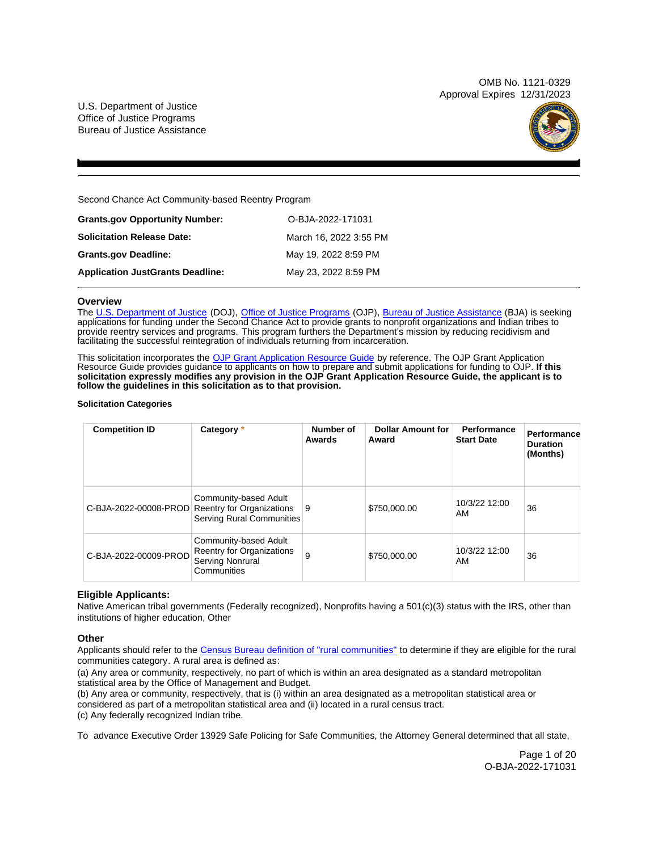OMB No. 1121-0329 Approval Expires 12/31/2023

U.S. Department of Justice Office of Justice Programs Bureau of Justice Assistance



Second Chance Act Community-based Reentry Program

| <b>Grants.gov Opportunity Number:</b>   | O-BJA-2022-171031      |
|-----------------------------------------|------------------------|
| Solicitation Release Date:              | March 16, 2022 3:55 PM |
| <b>Grants.gov Deadline:</b>             | May 19, 2022 8:59 PM   |
| <b>Application JustGrants Deadline:</b> | May 23, 2022 8:59 PM   |
|                                         |                        |

# **Overview**

The [U.S. Department of Justice](https://www.usdoj.gov/) (DOJ), [Office of Justice Programs](https://www.ojp.usdoj.gov/) (OJP), [Bureau of Justice Assistance](https://bja.ojp.gov/) (BJA) is seeking applications for funding under the Second Chance Act to provide grants to nonprofit organizations and Indian tribes to provide reentry services and programs. This program furthers the Department's mission by reducing recidivism and facilitating the successful reintegration of individuals returning from incarceration.

This solicitation incorporates the [OJP Grant Application Resource Guide](https://www.ojp.gov/funding/Apply/Resources/Grant-App-Resource-Guide.htm) by reference. The OJP Grant Application Resource Guide provides guidance to applicants on how to prepare and submit applications for funding to OJP. **If this solicitation expressly modifies any provision in the OJP Grant Application Resource Guide, the applicant is to follow the guidelines in this solicitation as to that provision.** 

# **Solicitation Categories**

| <b>Competition ID</b> | Category *                                                                                                   | Number of<br>Awards | <b>Dollar Amount for</b><br>Award | Performance<br><b>Start Date</b> | Performance<br><b>Duration</b><br>(Months) |
|-----------------------|--------------------------------------------------------------------------------------------------------------|---------------------|-----------------------------------|----------------------------------|--------------------------------------------|
|                       | Community-based Adult<br>C-BJA-2022-00008-PROD Reentry for Organizations<br><b>Serving Rural Communities</b> | 9                   | \$750,000.00                      | 10/3/22 12:00<br>AM              | 36                                         |
| C-BJA-2022-00009-PROD | Community-based Adult<br>Reentry for Organizations<br>Serving Nonrural<br>Communities                        | 9                   | \$750,000.00                      | 10/3/22 12:00<br>AM              | 36                                         |

# **Eligible Applicants:**

Native American tribal governments (Federally recognized), Nonprofits having a 501(c)(3) status with the IRS, other than institutions of higher education, Other

# **Other**

Applicants should refer to the [Census Bureau definition of "rural communities"](https://www.census.gov/library/publications/2016/acs/acsgeo-1.html) to determine if they are eligible for the rural communities category. A rural area is defined as:

(a) Any area or community, respectively, no part of which is within an area designated as a standard metropolitan statistical area by the Office of Management and Budget.

(b) Any area or community, respectively, that is (i) within an area designated as a metropolitan statistical area or considered as part of a metropolitan statistical area and (ii) located in a rural census tract. (c) Any federally recognized Indian tribe.

To advance Executive Order 13929 Safe Policing for Safe Communities, the Attorney General determined that all state,

Page 1 of 20 O-BJA-2022-171031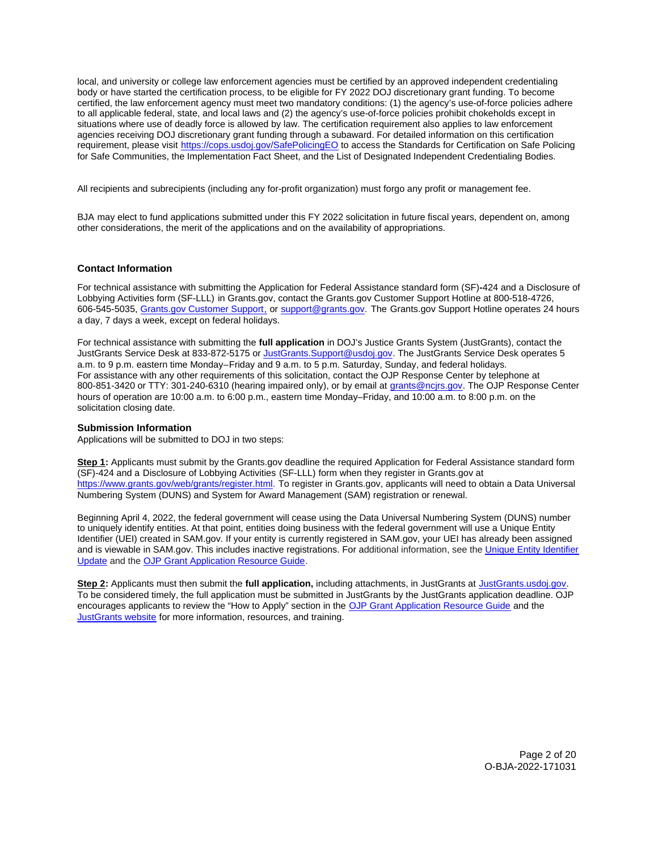<span id="page-1-0"></span>local, and university or college law enforcement agencies must be certified by an approved independent credentialing body or have started the certification process, to be eligible for FY 2022 DOJ discretionary grant funding. To become certified, the law enforcement agency must meet two mandatory conditions: (1) the agency's use-of-force policies adhere to all applicable federal, state, and local laws and (2) the agency's use-of-force policies prohibit chokeholds except in situations where use of deadly force is allowed by law. The certification requirement also applies to law enforcement agencies receiving DOJ discretionary grant funding through a subaward. For detailed information on this certification requirement, please visit [https://cops.usdoj.gov/SafePolicingEO](https://cops.usdoj.gov/SafePolicingEO%20) to access the Standards for Certification on Safe Policing for Safe Communities, the Implementation Fact Sheet, and the List of Designated Independent Credentialing Bodies.

All recipients and subrecipients (including any for-profit organization) must forgo any profit or management fee.

BJA may elect to fund applications submitted under this FY 2022 solicitation in future fiscal years, dependent on, among other considerations, the merit of the applications and on the availability of appropriations.

# **Contact Information**

For technical assistance with submitting the Application for Federal Assistance standard form (SF)**-**424 and a Disclosure of Lobbying Activities form (SF-LLL) in [Grants.gov](https://Grants.gov), contact the [Grants.gov](https://Grants.gov) Customer Support Hotline at 800-518-4726, 606-545-5035, [Grants.gov Customer Support,](https://www.grants.gov/web/grants/support.html) or [support@grants.gov.](mailto:support@grants.gov) The [Grants.gov](https://Grants.gov) Support Hotline operates 24 hours a day, 7 days a week, except on federal holidays.

For technical assistance with submitting the **full application** in DOJ's Justice Grants System (JustGrants), contact the JustGrants Service Desk at 833-872-5175 or [JustGrants.Support@usdoj.gov.](mailto:JustGrants.Support@usdoj.gov) The JustGrants Service Desk operates 5 a.m. to 9 p.m. eastern time Monday–Friday and 9 a.m. to 5 p.m. Saturday, Sunday, and federal holidays. For assistance with any other requirements of this solicitation, contact the OJP Response Center by telephone at 800-851-3420 or TTY: 301-240-6310 (hearing impaired only), or by email at [grants@ncjrs.gov.](mailto:grants@ncjrs.gov) The OJP Response Center hours of operation are 10:00 a.m. to 6:00 p.m., eastern time Monday–Friday, and 10:00 a.m. to 8:00 p.m. on the solicitation closing date.

# **Submission Information**

Applications will be submitted to DOJ in two steps:

**Step 1:** Applicants must submit by the [Grants.gov](https://Grants.gov) deadline the required Application for Federal Assistance standard form (SF)-424 and a Disclosure of Lobbying Activities (SF-LLL) form when they register in [Grants.gov](https://Grants.gov) at [https://www.grants.gov/web/grants/register.html.](https://www.grants.gov/web/grants/register.html) To register in [Grants.gov](https://Grants.gov), applicants will need to obtain a Data Universal Numbering System (DUNS) and System for Award Management (SAM) registration or renewal.

Beginning April 4, 2022, the federal government will cease using the Data Universal Numbering System (DUNS) number to uniquely identify entities. At that point, entities doing business with the federal government will use a Unique Entity Identifier (UEI) created in SAM.gov. If your entity is currently registered in SAM.gov, your UEI has already been assigned and is viewable in SAM.gov. This includes inactive registrations. For additional information, see the [Unique Entity Identifier](https://www.gsa.gov/about-us/organization/federal-acquisition-service/office-of-systems-management/integrated-award-environment-iae/iae-systems-information-kit/unique-entity-identifier-update)  [Update](https://www.gsa.gov/about-us/organization/federal-acquisition-service/office-of-systems-management/integrated-award-environment-iae/iae-systems-information-kit/unique-entity-identifier-update) and the [OJP Grant Application Resource Guide.](https://www.ojp.gov/funding/apply/ojp-grant-application-resource-guide#unique-entity)

**Step 2:** Applicants must then submit the **full application,** including attachments, in JustGrants at [JustGrants.usdoj.gov.](https://justicegrants.usdoj.gov/) To be considered timely, the full application must be submitted in JustGrants by the JustGrants application deadline. OJP encourages applicants to review the "How to Apply" section in the [OJP Grant Application Resource Guide](https://www.ojp.gov/funding/apply/ojp-grant-application-resource-guide#apply) and the [JustGrants website](https://justicegrants.usdoj.gov/news) for more information, resources, and training.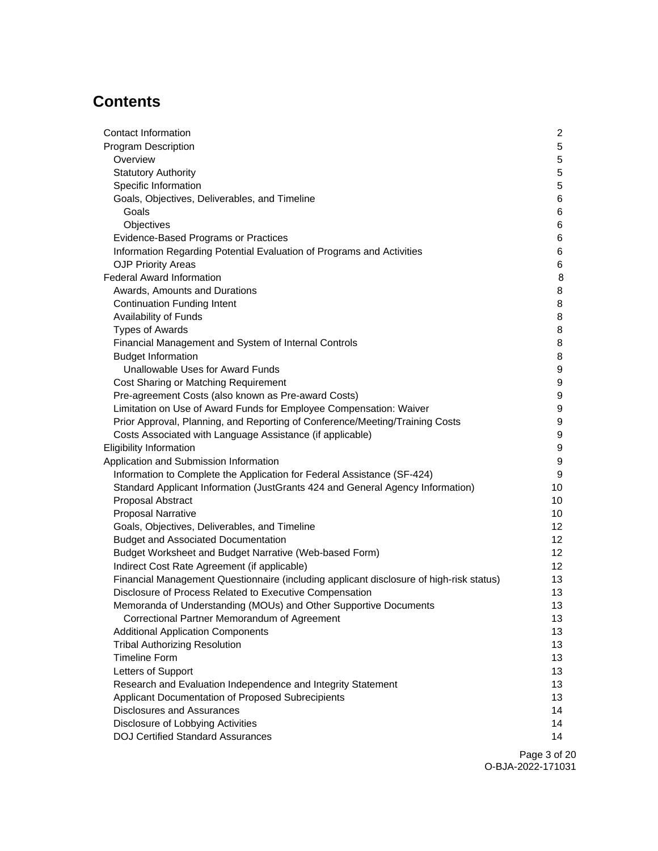# **Contents**

| 5<br>5<br>Overview<br>5<br><b>Statutory Authority</b><br>Specific Information<br>5<br>6<br>Goals, Objectives, Deliverables, and Timeline<br>Goals<br>6<br>Objectives<br>6<br>Evidence-Based Programs or Practices<br>6<br>Information Regarding Potential Evaluation of Programs and Activities<br>6<br><b>OJP Priority Areas</b><br>6<br>8<br>Awards, Amounts and Durations<br>8<br><b>Continuation Funding Intent</b><br>8<br>8<br>Availability of Funds<br>8<br><b>Types of Awards</b><br>8<br>Financial Management and System of Internal Controls<br>8<br><b>Budget Information</b><br>9<br>Unallowable Uses for Award Funds<br>9<br>Cost Sharing or Matching Requirement<br>9<br>Pre-agreement Costs (also known as Pre-award Costs)<br>Limitation on Use of Award Funds for Employee Compensation: Waiver<br>9<br>Prior Approval, Planning, and Reporting of Conference/Meeting/Training Costs<br>9<br>9<br>Costs Associated with Language Assistance (if applicable)<br>9<br>9<br>Information to Complete the Application for Federal Assistance (SF-424)<br>9<br>Standard Applicant Information (JustGrants 424 and General Agency Information)<br>10<br>Proposal Abstract<br>10<br><b>Proposal Narrative</b><br>10<br>Goals, Objectives, Deliverables, and Timeline<br>12<br><b>Budget and Associated Documentation</b><br>12<br>Budget Worksheet and Budget Narrative (Web-based Form)<br>12<br>Indirect Cost Rate Agreement (if applicable)<br>12<br>Financial Management Questionnaire (including applicant disclosure of high-risk status)<br>13<br>Disclosure of Process Related to Executive Compensation<br>13<br>13<br>Memoranda of Understanding (MOUs) and Other Supportive Documents<br>Correctional Partner Memorandum of Agreement<br>13<br><b>Additional Application Components</b><br>13<br><b>Tribal Authorizing Resolution</b><br>13<br><b>Timeline Form</b><br>13<br>Letters of Support<br>13<br>Research and Evaluation Independence and Integrity Statement<br>13 | <b>Program Description</b><br><b>Federal Award Information</b><br><b>Eligibility Information</b><br>Application and Submission Information<br>Applicant Documentation of Proposed Subrecipients<br><b>Disclosures and Assurances</b><br>Disclosure of Lobbying Activities | Contact Information                      | 2  |
|-------------------------------------------------------------------------------------------------------------------------------------------------------------------------------------------------------------------------------------------------------------------------------------------------------------------------------------------------------------------------------------------------------------------------------------------------------------------------------------------------------------------------------------------------------------------------------------------------------------------------------------------------------------------------------------------------------------------------------------------------------------------------------------------------------------------------------------------------------------------------------------------------------------------------------------------------------------------------------------------------------------------------------------------------------------------------------------------------------------------------------------------------------------------------------------------------------------------------------------------------------------------------------------------------------------------------------------------------------------------------------------------------------------------------------------------------------------------------------------------------------------------------------------------------------------------------------------------------------------------------------------------------------------------------------------------------------------------------------------------------------------------------------------------------------------------------------------------------------------------------------------------------------------------------------------------------------------------------------------------------|---------------------------------------------------------------------------------------------------------------------------------------------------------------------------------------------------------------------------------------------------------------------------|------------------------------------------|----|
|                                                                                                                                                                                                                                                                                                                                                                                                                                                                                                                                                                                                                                                                                                                                                                                                                                                                                                                                                                                                                                                                                                                                                                                                                                                                                                                                                                                                                                                                                                                                                                                                                                                                                                                                                                                                                                                                                                                                                                                                 |                                                                                                                                                                                                                                                                           |                                          |    |
|                                                                                                                                                                                                                                                                                                                                                                                                                                                                                                                                                                                                                                                                                                                                                                                                                                                                                                                                                                                                                                                                                                                                                                                                                                                                                                                                                                                                                                                                                                                                                                                                                                                                                                                                                                                                                                                                                                                                                                                                 |                                                                                                                                                                                                                                                                           |                                          |    |
|                                                                                                                                                                                                                                                                                                                                                                                                                                                                                                                                                                                                                                                                                                                                                                                                                                                                                                                                                                                                                                                                                                                                                                                                                                                                                                                                                                                                                                                                                                                                                                                                                                                                                                                                                                                                                                                                                                                                                                                                 |                                                                                                                                                                                                                                                                           |                                          |    |
|                                                                                                                                                                                                                                                                                                                                                                                                                                                                                                                                                                                                                                                                                                                                                                                                                                                                                                                                                                                                                                                                                                                                                                                                                                                                                                                                                                                                                                                                                                                                                                                                                                                                                                                                                                                                                                                                                                                                                                                                 |                                                                                                                                                                                                                                                                           |                                          |    |
|                                                                                                                                                                                                                                                                                                                                                                                                                                                                                                                                                                                                                                                                                                                                                                                                                                                                                                                                                                                                                                                                                                                                                                                                                                                                                                                                                                                                                                                                                                                                                                                                                                                                                                                                                                                                                                                                                                                                                                                                 |                                                                                                                                                                                                                                                                           |                                          |    |
|                                                                                                                                                                                                                                                                                                                                                                                                                                                                                                                                                                                                                                                                                                                                                                                                                                                                                                                                                                                                                                                                                                                                                                                                                                                                                                                                                                                                                                                                                                                                                                                                                                                                                                                                                                                                                                                                                                                                                                                                 |                                                                                                                                                                                                                                                                           |                                          |    |
|                                                                                                                                                                                                                                                                                                                                                                                                                                                                                                                                                                                                                                                                                                                                                                                                                                                                                                                                                                                                                                                                                                                                                                                                                                                                                                                                                                                                                                                                                                                                                                                                                                                                                                                                                                                                                                                                                                                                                                                                 |                                                                                                                                                                                                                                                                           |                                          |    |
|                                                                                                                                                                                                                                                                                                                                                                                                                                                                                                                                                                                                                                                                                                                                                                                                                                                                                                                                                                                                                                                                                                                                                                                                                                                                                                                                                                                                                                                                                                                                                                                                                                                                                                                                                                                                                                                                                                                                                                                                 |                                                                                                                                                                                                                                                                           |                                          |    |
|                                                                                                                                                                                                                                                                                                                                                                                                                                                                                                                                                                                                                                                                                                                                                                                                                                                                                                                                                                                                                                                                                                                                                                                                                                                                                                                                                                                                                                                                                                                                                                                                                                                                                                                                                                                                                                                                                                                                                                                                 |                                                                                                                                                                                                                                                                           |                                          |    |
|                                                                                                                                                                                                                                                                                                                                                                                                                                                                                                                                                                                                                                                                                                                                                                                                                                                                                                                                                                                                                                                                                                                                                                                                                                                                                                                                                                                                                                                                                                                                                                                                                                                                                                                                                                                                                                                                                                                                                                                                 |                                                                                                                                                                                                                                                                           |                                          |    |
|                                                                                                                                                                                                                                                                                                                                                                                                                                                                                                                                                                                                                                                                                                                                                                                                                                                                                                                                                                                                                                                                                                                                                                                                                                                                                                                                                                                                                                                                                                                                                                                                                                                                                                                                                                                                                                                                                                                                                                                                 |                                                                                                                                                                                                                                                                           |                                          |    |
|                                                                                                                                                                                                                                                                                                                                                                                                                                                                                                                                                                                                                                                                                                                                                                                                                                                                                                                                                                                                                                                                                                                                                                                                                                                                                                                                                                                                                                                                                                                                                                                                                                                                                                                                                                                                                                                                                                                                                                                                 |                                                                                                                                                                                                                                                                           |                                          |    |
|                                                                                                                                                                                                                                                                                                                                                                                                                                                                                                                                                                                                                                                                                                                                                                                                                                                                                                                                                                                                                                                                                                                                                                                                                                                                                                                                                                                                                                                                                                                                                                                                                                                                                                                                                                                                                                                                                                                                                                                                 |                                                                                                                                                                                                                                                                           |                                          |    |
|                                                                                                                                                                                                                                                                                                                                                                                                                                                                                                                                                                                                                                                                                                                                                                                                                                                                                                                                                                                                                                                                                                                                                                                                                                                                                                                                                                                                                                                                                                                                                                                                                                                                                                                                                                                                                                                                                                                                                                                                 |                                                                                                                                                                                                                                                                           |                                          |    |
|                                                                                                                                                                                                                                                                                                                                                                                                                                                                                                                                                                                                                                                                                                                                                                                                                                                                                                                                                                                                                                                                                                                                                                                                                                                                                                                                                                                                                                                                                                                                                                                                                                                                                                                                                                                                                                                                                                                                                                                                 |                                                                                                                                                                                                                                                                           |                                          |    |
|                                                                                                                                                                                                                                                                                                                                                                                                                                                                                                                                                                                                                                                                                                                                                                                                                                                                                                                                                                                                                                                                                                                                                                                                                                                                                                                                                                                                                                                                                                                                                                                                                                                                                                                                                                                                                                                                                                                                                                                                 |                                                                                                                                                                                                                                                                           |                                          |    |
|                                                                                                                                                                                                                                                                                                                                                                                                                                                                                                                                                                                                                                                                                                                                                                                                                                                                                                                                                                                                                                                                                                                                                                                                                                                                                                                                                                                                                                                                                                                                                                                                                                                                                                                                                                                                                                                                                                                                                                                                 |                                                                                                                                                                                                                                                                           |                                          |    |
|                                                                                                                                                                                                                                                                                                                                                                                                                                                                                                                                                                                                                                                                                                                                                                                                                                                                                                                                                                                                                                                                                                                                                                                                                                                                                                                                                                                                                                                                                                                                                                                                                                                                                                                                                                                                                                                                                                                                                                                                 |                                                                                                                                                                                                                                                                           |                                          |    |
|                                                                                                                                                                                                                                                                                                                                                                                                                                                                                                                                                                                                                                                                                                                                                                                                                                                                                                                                                                                                                                                                                                                                                                                                                                                                                                                                                                                                                                                                                                                                                                                                                                                                                                                                                                                                                                                                                                                                                                                                 |                                                                                                                                                                                                                                                                           |                                          |    |
|                                                                                                                                                                                                                                                                                                                                                                                                                                                                                                                                                                                                                                                                                                                                                                                                                                                                                                                                                                                                                                                                                                                                                                                                                                                                                                                                                                                                                                                                                                                                                                                                                                                                                                                                                                                                                                                                                                                                                                                                 |                                                                                                                                                                                                                                                                           |                                          |    |
|                                                                                                                                                                                                                                                                                                                                                                                                                                                                                                                                                                                                                                                                                                                                                                                                                                                                                                                                                                                                                                                                                                                                                                                                                                                                                                                                                                                                                                                                                                                                                                                                                                                                                                                                                                                                                                                                                                                                                                                                 |                                                                                                                                                                                                                                                                           |                                          |    |
|                                                                                                                                                                                                                                                                                                                                                                                                                                                                                                                                                                                                                                                                                                                                                                                                                                                                                                                                                                                                                                                                                                                                                                                                                                                                                                                                                                                                                                                                                                                                                                                                                                                                                                                                                                                                                                                                                                                                                                                                 |                                                                                                                                                                                                                                                                           |                                          |    |
|                                                                                                                                                                                                                                                                                                                                                                                                                                                                                                                                                                                                                                                                                                                                                                                                                                                                                                                                                                                                                                                                                                                                                                                                                                                                                                                                                                                                                                                                                                                                                                                                                                                                                                                                                                                                                                                                                                                                                                                                 |                                                                                                                                                                                                                                                                           |                                          |    |
|                                                                                                                                                                                                                                                                                                                                                                                                                                                                                                                                                                                                                                                                                                                                                                                                                                                                                                                                                                                                                                                                                                                                                                                                                                                                                                                                                                                                                                                                                                                                                                                                                                                                                                                                                                                                                                                                                                                                                                                                 |                                                                                                                                                                                                                                                                           |                                          |    |
|                                                                                                                                                                                                                                                                                                                                                                                                                                                                                                                                                                                                                                                                                                                                                                                                                                                                                                                                                                                                                                                                                                                                                                                                                                                                                                                                                                                                                                                                                                                                                                                                                                                                                                                                                                                                                                                                                                                                                                                                 |                                                                                                                                                                                                                                                                           |                                          |    |
|                                                                                                                                                                                                                                                                                                                                                                                                                                                                                                                                                                                                                                                                                                                                                                                                                                                                                                                                                                                                                                                                                                                                                                                                                                                                                                                                                                                                                                                                                                                                                                                                                                                                                                                                                                                                                                                                                                                                                                                                 |                                                                                                                                                                                                                                                                           |                                          |    |
|                                                                                                                                                                                                                                                                                                                                                                                                                                                                                                                                                                                                                                                                                                                                                                                                                                                                                                                                                                                                                                                                                                                                                                                                                                                                                                                                                                                                                                                                                                                                                                                                                                                                                                                                                                                                                                                                                                                                                                                                 |                                                                                                                                                                                                                                                                           |                                          |    |
|                                                                                                                                                                                                                                                                                                                                                                                                                                                                                                                                                                                                                                                                                                                                                                                                                                                                                                                                                                                                                                                                                                                                                                                                                                                                                                                                                                                                                                                                                                                                                                                                                                                                                                                                                                                                                                                                                                                                                                                                 |                                                                                                                                                                                                                                                                           |                                          |    |
|                                                                                                                                                                                                                                                                                                                                                                                                                                                                                                                                                                                                                                                                                                                                                                                                                                                                                                                                                                                                                                                                                                                                                                                                                                                                                                                                                                                                                                                                                                                                                                                                                                                                                                                                                                                                                                                                                                                                                                                                 |                                                                                                                                                                                                                                                                           |                                          |    |
|                                                                                                                                                                                                                                                                                                                                                                                                                                                                                                                                                                                                                                                                                                                                                                                                                                                                                                                                                                                                                                                                                                                                                                                                                                                                                                                                                                                                                                                                                                                                                                                                                                                                                                                                                                                                                                                                                                                                                                                                 |                                                                                                                                                                                                                                                                           |                                          |    |
|                                                                                                                                                                                                                                                                                                                                                                                                                                                                                                                                                                                                                                                                                                                                                                                                                                                                                                                                                                                                                                                                                                                                                                                                                                                                                                                                                                                                                                                                                                                                                                                                                                                                                                                                                                                                                                                                                                                                                                                                 |                                                                                                                                                                                                                                                                           |                                          |    |
|                                                                                                                                                                                                                                                                                                                                                                                                                                                                                                                                                                                                                                                                                                                                                                                                                                                                                                                                                                                                                                                                                                                                                                                                                                                                                                                                                                                                                                                                                                                                                                                                                                                                                                                                                                                                                                                                                                                                                                                                 |                                                                                                                                                                                                                                                                           |                                          |    |
|                                                                                                                                                                                                                                                                                                                                                                                                                                                                                                                                                                                                                                                                                                                                                                                                                                                                                                                                                                                                                                                                                                                                                                                                                                                                                                                                                                                                                                                                                                                                                                                                                                                                                                                                                                                                                                                                                                                                                                                                 |                                                                                                                                                                                                                                                                           |                                          |    |
|                                                                                                                                                                                                                                                                                                                                                                                                                                                                                                                                                                                                                                                                                                                                                                                                                                                                                                                                                                                                                                                                                                                                                                                                                                                                                                                                                                                                                                                                                                                                                                                                                                                                                                                                                                                                                                                                                                                                                                                                 |                                                                                                                                                                                                                                                                           |                                          |    |
|                                                                                                                                                                                                                                                                                                                                                                                                                                                                                                                                                                                                                                                                                                                                                                                                                                                                                                                                                                                                                                                                                                                                                                                                                                                                                                                                                                                                                                                                                                                                                                                                                                                                                                                                                                                                                                                                                                                                                                                                 |                                                                                                                                                                                                                                                                           |                                          |    |
|                                                                                                                                                                                                                                                                                                                                                                                                                                                                                                                                                                                                                                                                                                                                                                                                                                                                                                                                                                                                                                                                                                                                                                                                                                                                                                                                                                                                                                                                                                                                                                                                                                                                                                                                                                                                                                                                                                                                                                                                 |                                                                                                                                                                                                                                                                           |                                          |    |
|                                                                                                                                                                                                                                                                                                                                                                                                                                                                                                                                                                                                                                                                                                                                                                                                                                                                                                                                                                                                                                                                                                                                                                                                                                                                                                                                                                                                                                                                                                                                                                                                                                                                                                                                                                                                                                                                                                                                                                                                 |                                                                                                                                                                                                                                                                           |                                          |    |
|                                                                                                                                                                                                                                                                                                                                                                                                                                                                                                                                                                                                                                                                                                                                                                                                                                                                                                                                                                                                                                                                                                                                                                                                                                                                                                                                                                                                                                                                                                                                                                                                                                                                                                                                                                                                                                                                                                                                                                                                 |                                                                                                                                                                                                                                                                           |                                          |    |
|                                                                                                                                                                                                                                                                                                                                                                                                                                                                                                                                                                                                                                                                                                                                                                                                                                                                                                                                                                                                                                                                                                                                                                                                                                                                                                                                                                                                                                                                                                                                                                                                                                                                                                                                                                                                                                                                                                                                                                                                 |                                                                                                                                                                                                                                                                           |                                          |    |
|                                                                                                                                                                                                                                                                                                                                                                                                                                                                                                                                                                                                                                                                                                                                                                                                                                                                                                                                                                                                                                                                                                                                                                                                                                                                                                                                                                                                                                                                                                                                                                                                                                                                                                                                                                                                                                                                                                                                                                                                 |                                                                                                                                                                                                                                                                           |                                          |    |
|                                                                                                                                                                                                                                                                                                                                                                                                                                                                                                                                                                                                                                                                                                                                                                                                                                                                                                                                                                                                                                                                                                                                                                                                                                                                                                                                                                                                                                                                                                                                                                                                                                                                                                                                                                                                                                                                                                                                                                                                 |                                                                                                                                                                                                                                                                           |                                          |    |
|                                                                                                                                                                                                                                                                                                                                                                                                                                                                                                                                                                                                                                                                                                                                                                                                                                                                                                                                                                                                                                                                                                                                                                                                                                                                                                                                                                                                                                                                                                                                                                                                                                                                                                                                                                                                                                                                                                                                                                                                 |                                                                                                                                                                                                                                                                           |                                          |    |
|                                                                                                                                                                                                                                                                                                                                                                                                                                                                                                                                                                                                                                                                                                                                                                                                                                                                                                                                                                                                                                                                                                                                                                                                                                                                                                                                                                                                                                                                                                                                                                                                                                                                                                                                                                                                                                                                                                                                                                                                 |                                                                                                                                                                                                                                                                           |                                          | 13 |
| 14                                                                                                                                                                                                                                                                                                                                                                                                                                                                                                                                                                                                                                                                                                                                                                                                                                                                                                                                                                                                                                                                                                                                                                                                                                                                                                                                                                                                                                                                                                                                                                                                                                                                                                                                                                                                                                                                                                                                                                                              |                                                                                                                                                                                                                                                                           |                                          |    |
| 14                                                                                                                                                                                                                                                                                                                                                                                                                                                                                                                                                                                                                                                                                                                                                                                                                                                                                                                                                                                                                                                                                                                                                                                                                                                                                                                                                                                                                                                                                                                                                                                                                                                                                                                                                                                                                                                                                                                                                                                              |                                                                                                                                                                                                                                                                           |                                          |    |
|                                                                                                                                                                                                                                                                                                                                                                                                                                                                                                                                                                                                                                                                                                                                                                                                                                                                                                                                                                                                                                                                                                                                                                                                                                                                                                                                                                                                                                                                                                                                                                                                                                                                                                                                                                                                                                                                                                                                                                                                 |                                                                                                                                                                                                                                                                           | <b>DOJ Certified Standard Assurances</b> | 14 |

Page 3 of 20 O-BJA-2022-171031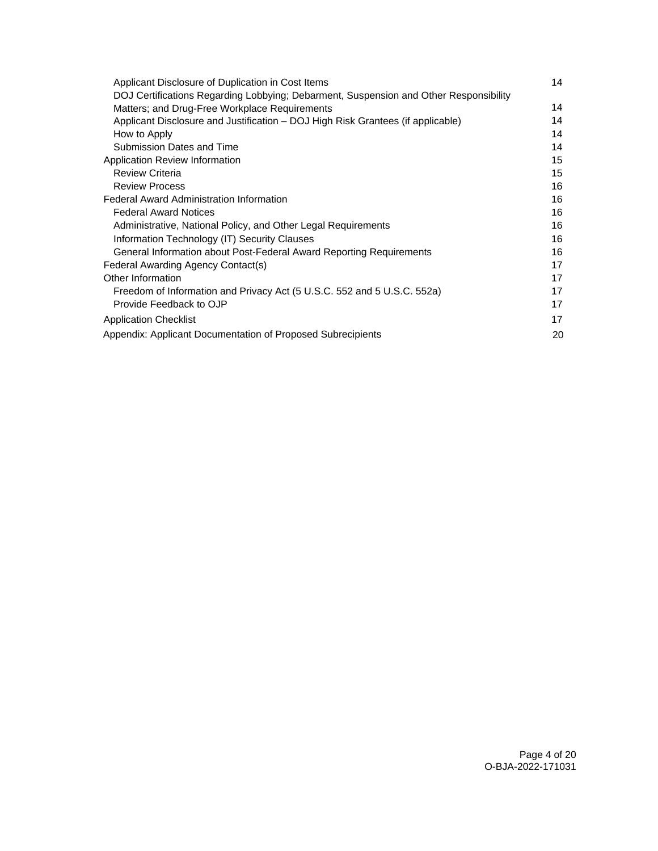| Applicant Disclosure of Duplication in Cost Items                                     | 14 |
|---------------------------------------------------------------------------------------|----|
| DOJ Certifications Regarding Lobbying; Debarment, Suspension and Other Responsibility |    |
| Matters; and Drug-Free Workplace Requirements                                         | 14 |
| Applicant Disclosure and Justification – DOJ High Risk Grantees (if applicable)       | 14 |
| How to Apply                                                                          | 14 |
| Submission Dates and Time                                                             | 14 |
| Application Review Information                                                        | 15 |
| <b>Review Criteria</b>                                                                | 15 |
| <b>Review Process</b>                                                                 | 16 |
| <b>Federal Award Administration Information</b>                                       | 16 |
| <b>Federal Award Notices</b>                                                          | 16 |
| Administrative, National Policy, and Other Legal Requirements                         | 16 |
| Information Technology (IT) Security Clauses                                          | 16 |
| General Information about Post-Federal Award Reporting Requirements                   | 16 |
| Federal Awarding Agency Contact(s)                                                    | 17 |
| Other Information                                                                     | 17 |
| Freedom of Information and Privacy Act (5 U.S.C. 552 and 5 U.S.C. 552a)               | 17 |
| Provide Feedback to OJP                                                               | 17 |
| <b>Application Checklist</b>                                                          | 17 |
| Appendix: Applicant Documentation of Proposed Subrecipients                           | 20 |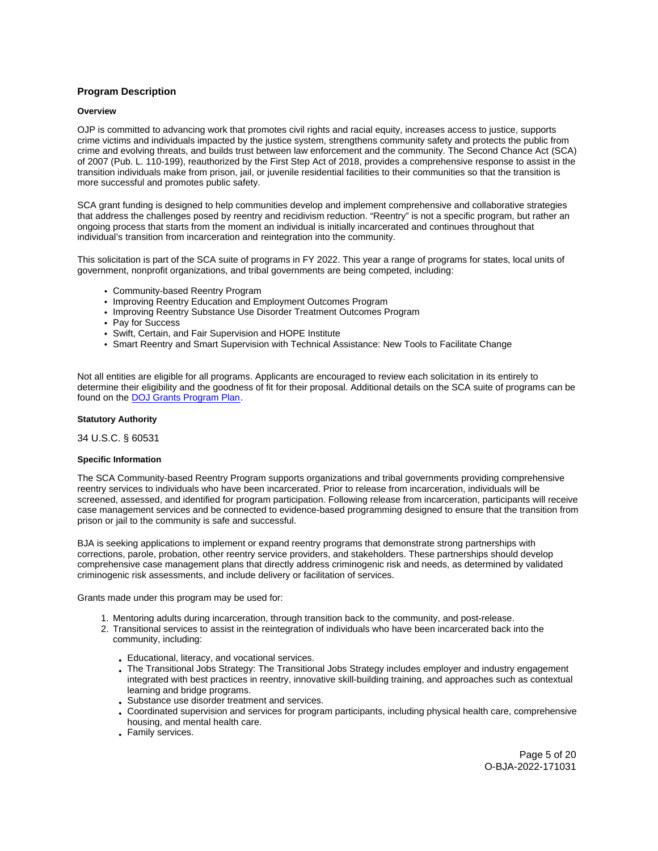# <span id="page-4-0"></span>**Program Description**

# **Overview**

OJP is committed to advancing work that promotes civil rights and racial equity, increases access to justice, supports crime victims and individuals impacted by the justice system, strengthens community safety and protects the public from crime and evolving threats, and builds trust between law enforcement and the community. The Second Chance Act (SCA) of 2007 (Pub. L. 110-199), reauthorized by the First Step Act of 2018, provides a comprehensive response to assist in the transition individuals make from prison, jail, or juvenile residential facilities to their communities so that the transition is more successful and promotes public safety.

SCA grant funding is designed to help communities develop and implement comprehensive and collaborative strategies that address the challenges posed by reentry and recidivism reduction. "Reentry" is not a specific program, but rather an ongoing process that starts from the moment an individual is initially incarcerated and continues throughout that individual's transition from incarceration and reintegration into the community.

This solicitation is part of the SCA suite of programs in FY 2022. This year a range of programs for states, local units of government, nonprofit organizations, and tribal governments are being competed, including:

- Community-based Reentry Program
- Improving Reentry Education and Employment Outcomes Program
- Improving Reentry Substance Use Disorder Treatment Outcomes Program
- Pay for Success
- Swift, Certain, and Fair Supervision and HOPE Institute
- Smart Reentry and Smart Supervision with Technical Assistance: New Tools to Facilitate Change

Not all entities are eligible for all programs. Applicants are encouraged to review each solicitation in its entirely to determine their eligibility and the goodness of fit for their proposal. Additional details on the SCA suite of programs can be found on the [DOJ Grants Program Plan.](https://www.justice.gov/dojgrantsprogramplan)

#### **Statutory Authority**

34 U.S.C. § 60531

### **Specific Information**

The SCA Community-based Reentry Program supports organizations and tribal governments providing comprehensive reentry services to individuals who have been incarcerated. Prior to release from incarceration, individuals will be screened, assessed, and identified for program participation. Following release from incarceration, participants will receive case management services and be connected to evidence-based programming designed to ensure that the transition from prison or jail to the community is safe and successful.

BJA is seeking applications to implement or expand reentry programs that demonstrate strong partnerships with corrections, parole, probation, other reentry service providers, and stakeholders. These partnerships should develop comprehensive case management plans that directly address criminogenic risk and needs, as determined by validated criminogenic risk assessments, and include delivery or facilitation of services.

Grants made under this program may be used for:

- 1. Mentoring adults during incarceration, through transition back to the community, and post-release.
- 2. Transitional services to assist in the reintegration of individuals who have been incarcerated back into the community, including:
	- Educational, literacy, and vocational services.
	- The Transitional Jobs Strategy: The Transitional Jobs Strategy includes employer and industry engagement integrated with best practices in reentry, innovative skill-building training, and approaches such as contextual learning and bridge programs.
	- Substance use disorder treatment and services.
	- Coordinated supervision and services for program participants, including physical health care, comprehensive housing, and mental health care.
	- Family services.

Page 5 of 20 O-BJA-2022-171031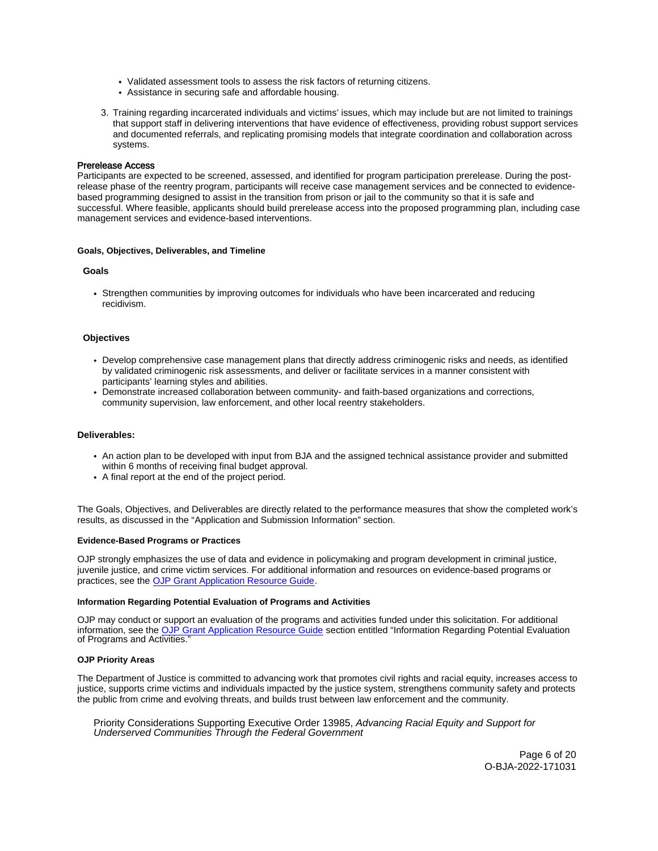- <span id="page-5-0"></span>Validated assessment tools to assess the risk factors of returning citizens.
- Assistance in securing safe and affordable housing.
- 3. Training regarding incarcerated individuals and victims' issues, which may include but are not limited to trainings that support staff in delivering interventions that have evidence of effectiveness, providing robust support services and documented referrals, and replicating promising models that integrate coordination and collaboration across systems.

# Prerelease Access

Participants are expected to be screened, assessed, and identified for program participation prerelease. During the postrelease phase of the reentry program, participants will receive case management services and be connected to evidencebased programming designed to assist in the transition from prison or jail to the community so that it is safe and successful. Where feasible, applicants should build prerelease access into the proposed programming plan, including case management services and evidence-based interventions.

#### **Goals, Objectives, Deliverables, and Timeline**

# **Goals**

Strengthen communities by improving outcomes for individuals who have been incarcerated and reducing recidivism.

# **Objectives**

- Develop comprehensive case management plans that directly address criminogenic risks and needs, as identified by validated criminogenic risk assessments, and deliver or facilitate services in a manner consistent with participants' learning styles and abilities.
- Demonstrate increased collaboration between community- and faith-based organizations and corrections, community supervision, law enforcement, and other local reentry stakeholders.

#### **Deliverables:**

- An action plan to be developed with input from BJA and the assigned technical assistance provider and submitted within 6 months of receiving final budget approval.
- A final report at the end of the project period.

The Goals, Objectives, and Deliverables are directly related to the performance measures that show the completed work's results, as discussed in the "Application and Submission Information" section.

#### **Evidence-Based Programs or Practices**

OJP strongly emphasizes the use of data and evidence in policymaking and program development in criminal justice, juvenile justice, and crime victim services. For additional information and resources on evidence-based programs or practices, see the [OJP Grant Application Resource Guide.](https://www.ojp.gov/funding/apply/ojp-grant-application-resource-guide#evidence-based)

#### **Information Regarding Potential Evaluation of Programs and Activities**

OJP may conduct or support an evaluation of the programs and activities funded under this solicitation. For additional information, see the [OJP Grant Application Resource Guide](https://www.ojp.gov/funding/apply/ojp-grant-application-resource-guide#potential-evaluation) section entitled "Information Regarding Potential Evaluation of Programs and Activities."

#### **OJP Priority Areas**

The Department of Justice is committed to advancing work that promotes civil rights and racial equity, increases access to justice, supports crime victims and individuals impacted by the justice system, strengthens community safety and protects the public from crime and evolving threats, and builds trust between law enforcement and the community.

Priority Considerations Supporting Executive Order 13985, Advancing Racial Equity and Support for Underserved Communities Through the Federal Government

> Page 6 of 20 O-BJA-2022-171031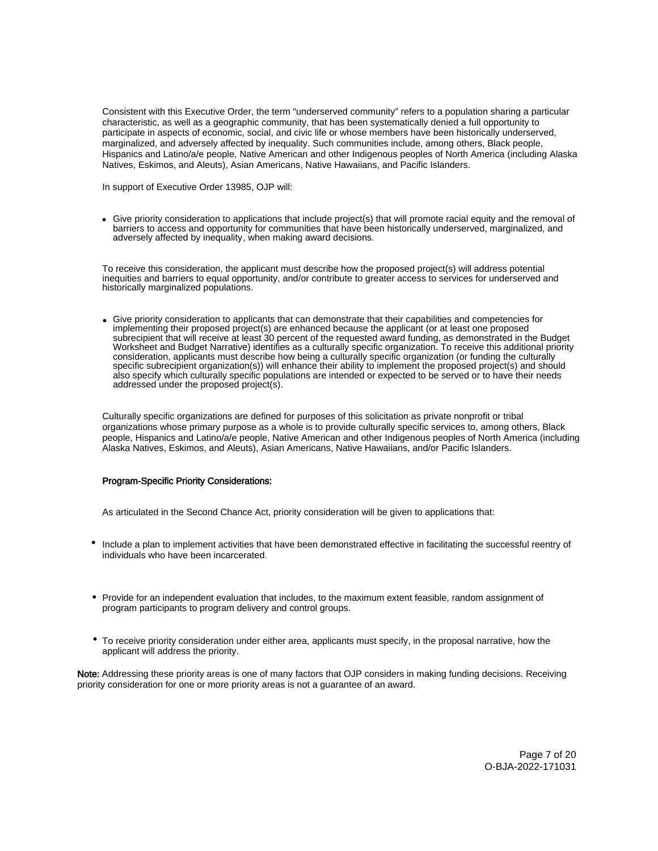<span id="page-6-0"></span>Consistent with this Executive Order, the term "underserved community" refers to a population sharing a particular characteristic, as well as a geographic community, that has been systematically denied a full opportunity to participate in aspects of economic, social, and civic life or whose members have been historically underserved, marginalized, and adversely affected by inequality. Such communities include, among others, Black people, Hispanics and Latino/a/e people, Native American and other Indigenous peoples of North America (including Alaska Natives, Eskimos, and Aleuts), Asian Americans, Native Hawaiians, and Pacific Islanders.

In support of Executive Order 13985, OJP will:

• Give priority consideration to applications that include project(s) that will promote racial equity and the removal of barriers to access and opportunity for communities that have been historically underserved, marginalized, and adversely affected by inequality, when making award decisions.

To receive this consideration, the applicant must describe how the proposed project(s) will address potential inequities and barriers to equal opportunity, and/or contribute to greater access to services for underserved and historically marginalized populations.

• Give priority consideration to applicants that can demonstrate that their capabilities and competencies for implementing their proposed project(s) are enhanced because the applicant (or at least one proposed subrecipient that will receive at least 30 percent of the requested award funding, as demonstrated in the Budget Worksheet and Budget Narrative) identifies as a culturally specific organization. To receive this additional priority consideration, applicants must describe how being a culturally specific organization (or funding the culturally specific subrecipient organization(s)) will enhance their ability to implement the proposed project(s) and should also specify which culturally specific populations are intended or expected to be served or to have their needs addressed under the proposed project(s).

Culturally specific organizations are defined for purposes of this solicitation as private nonprofit or tribal organizations whose primary purpose as a whole is to provide culturally specific services to, among others, Black people, Hispanics and Latino/a/e people, Native American and other Indigenous peoples of North America (including Alaska Natives, Eskimos, and Aleuts), Asian Americans, Native Hawaiians, and/or Pacific Islanders.

# Program-Specific Priority Considerations:

As articulated in the Second Chance Act, priority consideration will be given to applications that:

- Include a plan to implement activities that have been demonstrated effective in facilitating the successful reentry of individuals who have been incarcerated.
- Provide for an independent evaluation that includes, to the maximum extent feasible, random assignment of program participants to program delivery and control groups.
- To receive priority consideration under either area, applicants must specify, in the proposal narrative, how the applicant will address the priority.

Note: Addressing these priority areas is one of many factors that OJP considers in making funding decisions. Receiving priority consideration for one or more priority areas is not a guarantee of an award.

> Page 7 of 20 O-BJA-2022-171031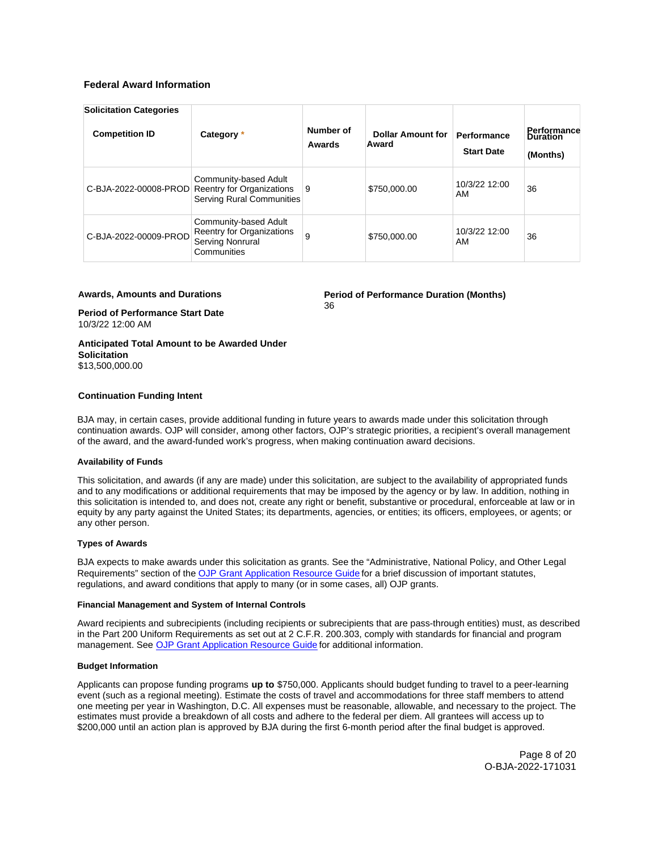# <span id="page-7-0"></span>**Federal Award Information**

| <b>Solicitation Categories</b><br><b>Competition ID</b> | Category *                                                                             | Number of<br>Awards | <b>Dollar Amount for</b><br>Award | Performance<br><b>Start Date</b> | Performance<br>Duration<br>(Months) |
|---------------------------------------------------------|----------------------------------------------------------------------------------------|---------------------|-----------------------------------|----------------------------------|-------------------------------------|
| C-BJA-2022-00008-PROD                                   | Community-based Adult<br>Reentry for Organizations<br><b>Serving Rural Communities</b> | 9                   | \$750,000.00                      | 10/3/22 12:00<br>AM              | 36                                  |
| C-BJA-2022-00009-PROD                                   | Community-based Adult<br>Reentry for Organizations<br>Serving Nonrural<br>Communities  | 9                   | \$750,000.00                      | 10/3/22 12:00<br>AM              | 36                                  |

# **Awards, Amounts and Durations**

**Period of Performance Duration (Months)**  36

**Period of Performance Start Date**  10/3/22 12:00 AM

**Anticipated Total Amount to be Awarded Under Solicitation**  \$13,500,000.00

# **Continuation Funding Intent**

BJA may, in certain cases, provide additional funding in future years to awards made under this solicitation through continuation awards. OJP will consider, among other factors, OJP's strategic priorities, a recipient's overall management of the award, and the award-funded work's progress, when making continuation award decisions.

#### **Availability of Funds**

This solicitation, and awards (if any are made) under this solicitation, are subject to the availability of appropriated funds and to any modifications or additional requirements that may be imposed by the agency or by law. In addition, nothing in this solicitation is intended to, and does not, create any right or benefit, substantive or procedural, enforceable at law or in equity by any party against the United States; its departments, agencies, or entities; its officers, employees, or agents; or any other person.

#### **Types of Awards**

BJA expects to make awards under this solicitation as grants. See the "Administrative, National Policy, and Other Legal Requirements" section of the [OJP Grant Application Resource Guide](https://www.ojp.gov/funding/apply/ojp-grant-application-resource-guide#administrative) for a brief discussion of important statutes, regulations, and award conditions that apply to many (or in some cases, all) OJP grants.

# **Financial Management and System of Internal Controls**

Award recipients and subrecipients (including recipients or subrecipients that are pass-through entities) must, as described in the Part 200 Uniform Requirements as set out at 2 C.F.R. 200.303, comply with standards for financial and program management. See [OJP Grant Application Resource Guide](https://www.ojp.gov/funding/apply/ojp-grant-application-resource-guide#fm-internal-controls) for additional information.

# **Budget Information**

Applicants can propose funding programs **up to** \$750,000. Applicants should budget funding to travel to a peer-learning event (such as a regional meeting). Estimate the costs of travel and accommodations for three staff members to attend one meeting per year in Washington, D.C. All expenses must be reasonable, allowable, and necessary to the project. The estimates must provide a breakdown of all costs and adhere to the federal per diem. All grantees will access up to \$200,000 until an action plan is approved by BJA during the first 6-month period after the final budget is approved.

> Page 8 of 20 O-BJA-2022-171031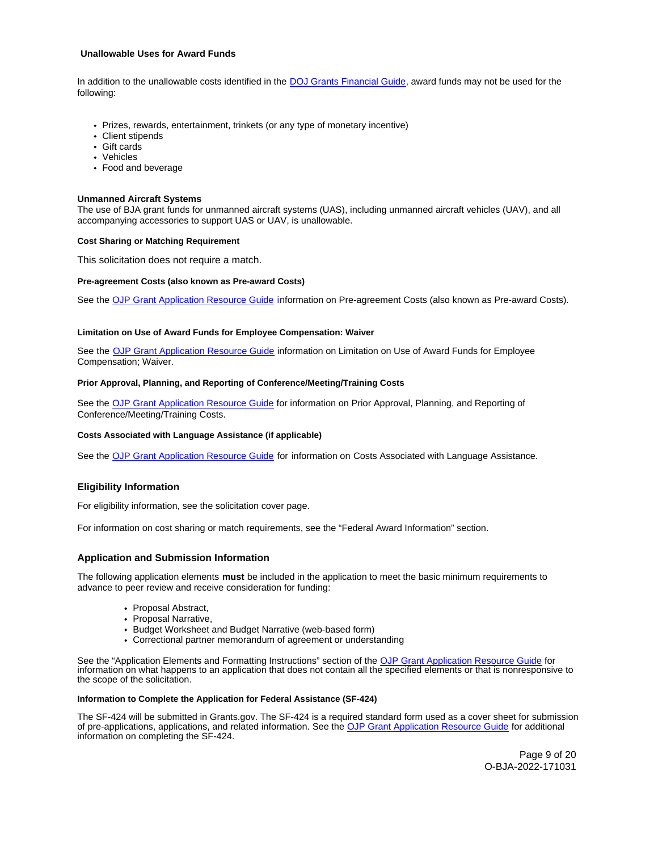# <span id="page-8-0"></span>**Unallowable Uses for Award Funds**

In addition to the unallowable costs identified in the [DOJ Grants Financial Guide,](https://ojp.gov/financialguide/DOJ/index.htm) award funds may not be used for the following:

- Prizes, rewards, entertainment, trinkets (or any type of monetary incentive)
- Client stipends
- Gift cards
- Vehicles
- Food and beverage

# **Unmanned Aircraft Systems**

The use of BJA grant funds for unmanned aircraft systems (UAS), including unmanned aircraft vehicles (UAV), and all accompanying accessories to support UAS or UAV, is unallowable.

# **Cost Sharing or Matching Requirement**

This solicitation does not require a match.

#### **Pre-agreement Costs (also known as Pre-award Costs)**

See the [OJP Grant Application Resource Guide](https://www.ojp.gov/funding/apply/ojp-grant-application-resource-guide#pre-agreement-costs) information on Pre-agreement Costs (also known as Pre-award Costs).

#### **Limitation on Use of Award Funds for Employee Compensation: Waiver**

See the [OJP Grant Application Resource Guide](https://www.ojp.gov/funding/apply/ojp-grant-application-resource-guide#limitation-use-award) information on Limitation on Use of Award Funds for Employee Compensation; Waiver.

# **Prior Approval, Planning, and Reporting of Conference/Meeting/Training Costs**

See the [OJP Grant Application Resource Guide](https://www.ojp.gov/funding/apply/ojp-grant-application-resource-guide#prior-approval) for information on Prior Approval, Planning, and Reporting of Conference/Meeting/Training Costs.

#### **Costs Associated with Language Assistance (if applicable)**

See the [OJP Grant Application Resource Guide](https://www.ojp.gov/funding/apply/ojp-grant-application-resource-guide#costs-associated) for information on Costs Associated with Language Assistance.

# **Eligibility Information**

For eligibility information, see the solicitation cover page.

For information on cost sharing or match requirements, see the "Federal Award Information" section.

# **Application and Submission Information**

The following application elements **must** be included in the application to meet the basic minimum requirements to advance to peer review and receive consideration for funding:

- Proposal Abstract,
- Proposal Narrative.
- Budget Worksheet and Budget Narrative (web-based form)
- Correctional partner memorandum of agreement or understanding

See the "Application Elements and Formatting Instructions" section of the [OJP Grant Application Resource Guide](https://www.ojp.gov/funding/apply/ojp-grant-application-resource-guide#application-elements) for information on what happens to an application that does not contain all the specified elements or that is nonresponsive to the scope of the solicitation.

# **Information to Complete the Application for Federal Assistance (SF-424)**

The SF-424 will be submitted in [Grants.gov](https://Grants.gov). The SF-424 is a required standard form used as a cover sheet for submission of pre-applications, applications, and related information. See the [OJP Grant Application Resource Guide](https://www.ojp.gov/funding/apply/ojp-grant-application-resource-guide#complete-application) for additional information on completing the SF-424.

> Page 9 of 20 O-BJA-2022-171031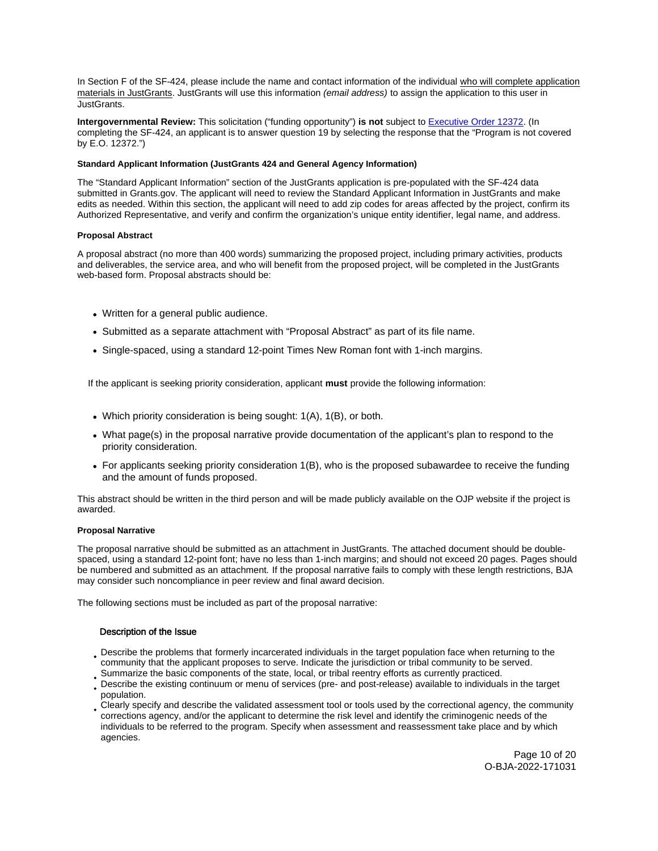<span id="page-9-0"></span>In Section F of the SF-424, please include the name and contact information of the individual who will complete application materials in JustGrants. JustGrants will use this information (email address) to assign the application to this user in JustGrants.

**Intergovernmental Review:** This solicitation ("funding opportunity") **is not** subject to [Executive Order 12372.](https://www.archives.gov/federal-register/codification/executive-order/12372.html) (In completing the SF-424, an applicant is to answer question 19 by selecting the response that the "Program is not covered by E.O. 12372.")

# **Standard Applicant Information (JustGrants 424 and General Agency Information)**

The "Standard Applicant Information" section of the JustGrants application is pre-populated with the SF-424 data submitted in [Grants.gov](https://Grants.gov). The applicant will need to review the Standard Applicant Information in JustGrants and make edits as needed. Within this section, the applicant will need to add zip codes for areas affected by the project, confirm its Authorized Representative, and verify and confirm the organization's unique entity identifier, legal name, and address.

# **Proposal Abstract**

A proposal abstract (no more than 400 words) summarizing the proposed project, including primary activities, products and deliverables, the service area, and who will benefit from the proposed project, will be completed in the JustGrants web-based form. Proposal abstracts should be:

- Written for a general public audience.
- Submitted as a separate attachment with "Proposal Abstract" as part of its file name.
- Single-spaced, using a standard 12-point Times New Roman font with 1-inch margins.

If the applicant is seeking priority consideration, applicant **must** provide the following information:

- Which priority consideration is being sought: 1(A), 1(B), or both.
- What page(s) in the proposal narrative provide documentation of the applicant's plan to respond to the priority consideration.
- For applicants seeking priority consideration 1(B), who is the proposed subawardee to receive the funding and the amount of funds proposed.

This abstract should be written in the third person and will be made publicly available on the OJP website if the project is awarded.

# **Proposal Narrative**

The proposal narrative should be submitted as an attachment in JustGrants. The attached document should be doublespaced, using a standard 12-point font; have no less than 1-inch margins; and should not exceed 20 pages. Pages should be numbered and submitted as an attachment. If the proposal narrative fails to comply with these length restrictions, BJA may consider such noncompliance in peer review and final award decision.

The following sections must be included as part of the proposal narrative:

# Description of the Issue

- Describe the problems that formerly incarcerated individuals in the target population face when returning to the community that the applicant proposes to serve. Indicate the jurisdiction or tribal community to be served.
- Summarize the basic components of the state, local, or tribal reentry efforts as currently practiced.
- Describe the existing continuum or menu of services (pre- and post-release) available to individuals in the target population.
- Clearly specify and describe the validated assessment tool or tools used by the correctional agency, the community corrections agency, and/or the applicant to determine the risk level and identify the criminogenic needs of the individuals to be referred to the program. Specify when assessment and reassessment take place and by which agencies.

Page 10 of 20 O-BJA-2022-171031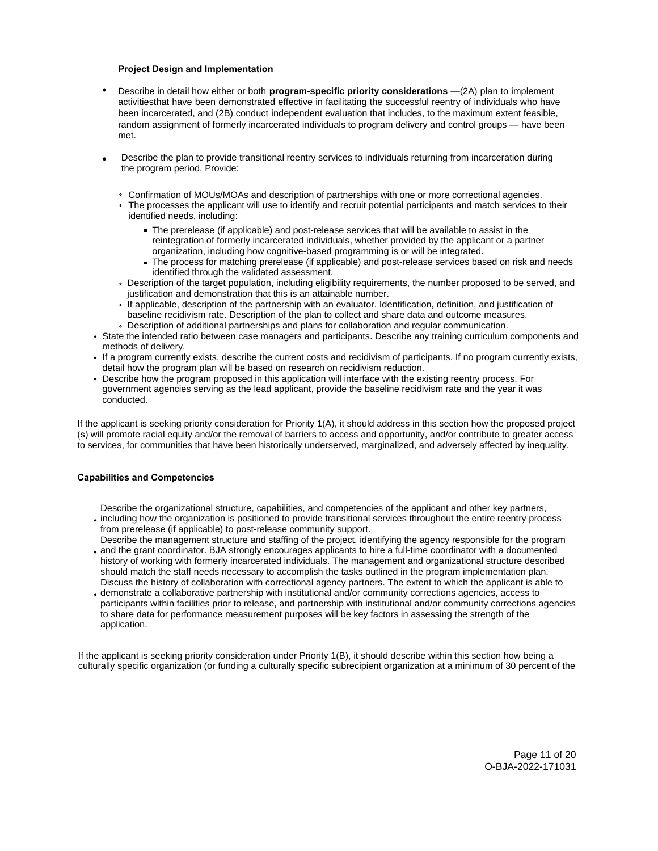- • **Project Design and Implementation** Describe in detail how either or both **program-specific priority considerations** —(2A) plan to implement activitiesthat have been demonstrated effective in facilitating the successful reentry of individuals who have been incarcerated, and (2B) conduct independent evaluation that includes, to the maximum extent feasible, random assignment of formerly incarcerated individuals to program delivery and control groups — have been met.
- Describe the plan to provide transitional reentry services to individuals returning from incarceration during the program period. Provide: •
	- Confirmation of MOUs/MOAs and description of partnerships with one or more correctional agencies.
	- The processes the applicant will use to identify and recruit potential participants and match services to their identified needs, including:
		- The prerelease (if applicable) and post-release services that will be available to assist in the reintegration of formerly incarcerated individuals, whether provided by the applicant or a partner organization, including how cognitive-based programming is or will be integrated.
		- The process for matching prerelease (if applicable) and post-release services based on risk and needs  $\blacksquare$ identified through the validated assessment.
	- Description of the target population, including eligibility requirements, the number proposed to be served, and justification and demonstration that this is an attainable number.
	- If applicable, description of the partnership with an evaluator. Identification, definition, and justification of baseline recidivism rate. Description of the plan to collect and share data and outcome measures.
	- Description of additional partnerships and plans for collaboration and regular communication.
- State the intended ratio between case managers and participants. Describe any training curriculum components and methods of delivery.
- If a program currently exists, describe the current costs and recidivism of participants. If no program currently exists, detail how the program plan will be based on research on recidivism reduction.
- Describe how the program proposed in this application will interface with the existing reentry process. For government agencies serving as the lead applicant, provide the baseline recidivism rate and the year it was conducted.

If the applicant is seeking priority consideration for Priority 1(A), it should address in this section how the proposed project (s) will promote racial equity and/or the removal of barriers to access and opportunity, and/or contribute to greater access to services, for communities that have been historically underserved, marginalized, and adversely affected by inequality.

# **Capabilities and Competencies**

Describe the organizational structure, capabilities, and competencies of the applicant and other key partners,

- including how the organization is positioned to provide transitional services throughout the entire reentry process from prerelease (if applicable) to post-release community support.
- Describe the management structure and staffing of the project, identifying the agency responsible for the program and the grant coordinator. BJA strongly encourages applicants to hire a full-time coordinator with a documented history of working with formerly incarcerated individuals. The management and organizational structure described should match the staff needs necessary to accomplish the tasks outlined in the program implementation plan.
- Discuss the history of collaboration with correctional agency partners. The extent to which the applicant is able to demonstrate a collaborative partnership with institutional and/or community corrections agencies, access to participants within facilities prior to release, and partnership with institutional and/or community corrections agencies to share data for performance measurement purposes will be key factors in assessing the strength of the application.

If the applicant is seeking priority consideration under Priority 1(B), it should describe within this section how being a culturally specific organization (or funding a culturally specific subrecipient organization at a minimum of 30 percent of the

> Page 11 of 20 O-BJA-2022-171031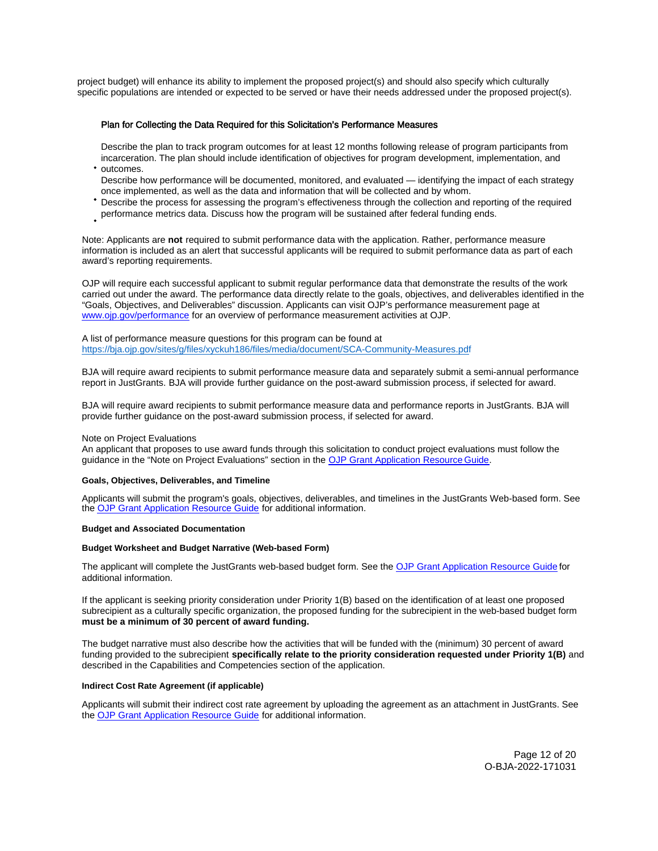<span id="page-11-0"></span>project budget) will enhance its ability to implement the proposed project(s) and should also specify which culturally specific populations are intended or expected to be served or have their needs addressed under the proposed project(s).

# Plan for Collecting the Data Required for this Solicitation's Performance Measures

Describe the plan to track program outcomes for at least 12 months following release of program participants from incarceration. The plan should include identification of objectives for program development, implementation, and

- outcomes. Describe how performance will be documented, monitored, and evaluated — identifying the impact of each strategy once implemented, as well as the data and information that will be collected and by whom.
- Describe the process for assessing the program's effectiveness through the collection and reporting of the required
- performance metrics data. Discuss how the program will be sustained after federal funding ends.

Note: Applicants are **not** required to submit performance data with the application. Rather, performance measure information is included as an alert that successful applicants will be required to submit performance data as part of each award's reporting requirements.

OJP will require each successful applicant to submit regular performance data that demonstrate the results of the work carried out under the award. The performance data directly relate to the goals, objectives, and deliverables identified in the "Goals, Objectives, and Deliverables" discussion. Applicants can visit OJP's performance measurement page at [www.ojp.gov/performance](https://www.ojp.gov/performance) for an overview of performance measurement activities at OJP.

A list of performance measure questions for this program can be found at <https://bja.ojp.gov/sites/g/files/xyckuh186/files/media/document/SCA-Community-Measures.pdf>

BJA will require award recipients to submit performance measure data and separately submit a semi-annual performance report in JustGrants. BJA will provide further guidance on the post-award submission process, if selected for award.

BJA will require award recipients to submit performance measure data and performance reports in JustGrants. BJA will provide further guidance on the post-award submission process, if selected for award.

# Note on Project Evaluations

An applicant that proposes to use award funds through this solicitation to conduct project evaluations must follow the guidance in the "Note on Project Evaluations" section in the [OJP Grant Application Resource Guide.](https://www.ojp.gov/funding/apply/ojp-grant-application-resource-guide#project-evaluations) 

#### **Goals, Objectives, Deliverables, and Timeline**

Applicants will submit the program's goals, objectives, deliverables, and timelines in the JustGrants Web-based form. See the [OJP Grant Application Resource Guide](https://www.ojp.gov/funding/apply/ojp-grant-application-resource-guide) for additional information.

#### **Budget and Associated Documentation**

# **Budget Worksheet and Budget Narrative (Web-based Form)**

The applicant will complete the JustGrants web-based budget form. See the [OJP Grant Application Resource Guide](https://ojp.gov/funding/Apply/Resources/Grant-App-Resource-Guide.htm) for additional information.

If the applicant is seeking priority consideration under Priority 1(B) based on the identification of at least one proposed subrecipient as a culturally specific organization, the proposed funding for the subrecipient in the web-based budget form **must be a minimum of 30 percent of award funding.** 

The budget narrative must also describe how the activities that will be funded with the (minimum) 30 percent of award funding provided to the subrecipient **specifically relate to the priority consideration requested under Priority 1(B)** and described in the Capabilities and Competencies section of the application.

### **Indirect Cost Rate Agreement (if applicable)**

Applicants will submit their indirect cost rate agreement by uploading the agreement as an attachment in JustGrants. See the [OJP Grant Application Resource Guide f](https://www.ojp.gov/funding/apply/ojp-grant-application-resource-guide#budget-prep)or additional information.

> Page 12 of 20 O-BJA-2022-171031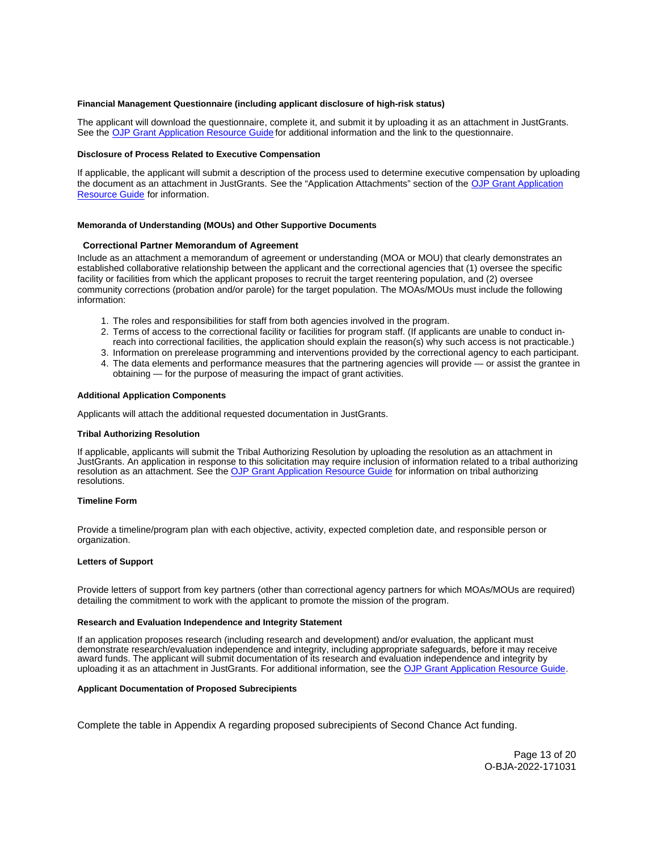# <span id="page-12-0"></span>**Financial Management Questionnaire (including applicant disclosure of high-risk status)**

The applicant will download the questionnaire, complete it, and submit it by uploading it as an attachment in JustGrants. See the [OJP Grant Application Resource Guide](https://www.ojp.gov/funding/apply/ojp-grant-application-resource-guide#fm-internal-controls-questionnaire) for additional information and the link to the questionnaire.

# **Disclosure of Process Related to Executive Compensation**

If applicable, the applicant will submit a description of the process used to determine executive compensation by uploading the document as an attachment in JustGrants. See the "Application Attachments" section of the [OJP Grant Application](https://www.ojp.gov/funding/apply/ojp-grant-application-resource-guide#disclosure-process-executive)  [Resource Guide](https://www.ojp.gov/funding/apply/ojp-grant-application-resource-guide#disclosure-process-executive) for information.

#### **Memoranda of Understanding (MOUs) and Other Supportive Documents**

#### **Correctional Partner Memorandum of Agreement**

Include as an attachment a memorandum of agreement or understanding (MOA or MOU) that clearly demonstrates an established collaborative relationship between the applicant and the correctional agencies that (1) oversee the specific facility or facilities from which the applicant proposes to recruit the target reentering population, and (2) oversee community corrections (probation and/or parole) for the target population. The MOAs/MOUs must include the following information:

- 1. The roles and responsibilities for staff from both agencies involved in the program.
- 2. Terms of access to the correctional facility or facilities for program staff. (If applicants are unable to conduct inreach into correctional facilities, the application should explain the reason(s) why such access is not practicable.)
- 3. Information on prerelease programming and interventions provided by the correctional agency to each participant.
- 4. The data elements and performance measures that the partnering agencies will provide or assist the grantee in obtaining — for the purpose of measuring the impact of grant activities.

# **Additional Application Components**

Applicants will attach the additional requested documentation in JustGrants.

#### **Tribal Authorizing Resolution**

If applicable, applicants will submit the Tribal Authorizing Resolution by uploading the resolution as an attachment in JustGrants. An application in response to this solicitation may require inclusion of information related to a tribal authorizing resolution as an attachment. See the [OJP Grant Application Resource Guide](https://www.ojp.gov/funding/apply/ojp-grant-application-resource-guide#tribal-authorizing-resolution) for information on tribal authorizing resolutions.

#### **Timeline Form**

Provide a timeline/program plan with each objective, activity, expected completion date, and responsible person or organization.

#### **Letters of Support**

Provide letters of support from key partners (other than correctional agency partners for which MOAs/MOUs are required) detailing the commitment to work with the applicant to promote the mission of the program.

#### **Research and Evaluation Independence and Integrity Statement**

If an application proposes research (including research and development) and/or evaluation, the applicant must demonstrate research/evaluation independence and integrity, including appropriate safeguards, before it may receive award funds. The applicant will submit documentation of its research and evaluation independence and integrity by uploading it as an attachment in JustGrants. For additional information, see the [OJP Grant Application Resource Guide.](https://www.ojp.gov/funding/apply/ojp-grant-application-resource-guide#research-evaluation)

#### **Applicant Documentation of Proposed Subrecipients**

Complete the table in Appendix A regarding proposed subrecipients of Second Chance Act funding.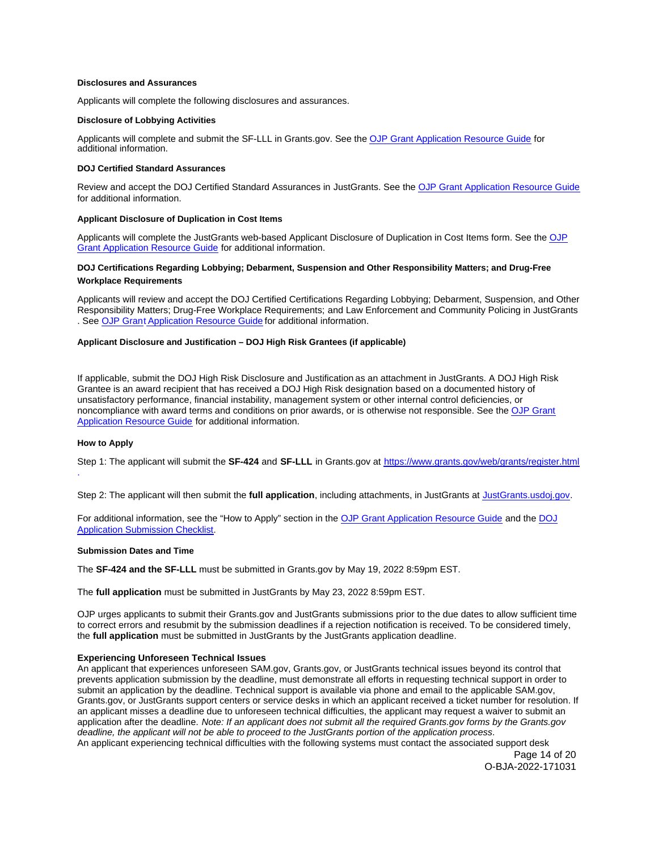# <span id="page-13-0"></span>**Disclosures and Assurances**

Applicants will complete the following disclosures and assurances.

#### **Disclosure of Lobbying Activities**

Applicants will complete and submit the SF-LLL in [Grants.gov](https://Grants.gov). See the [OJP Grant Application Resource Guide](https://www.ojp.gov/funding/apply/ojp-grant-application-resource-guide#apply) for additional information.

# **DOJ Certified Standard Assurances**

Review and accept the DOJ Certified Standard Assurances in JustGrants. See the [OJP Grant Application Resource Guide](https://www.ojp.gov/funding/apply/ojp-grant-application-resource-guide#administrative)  for additional information.

# **Applicant Disclosure of Duplication in Cost Items**

Applicants will complete the JustGrants web-based Applicant Disclosure of Duplication in Cost Items form. See the [OJP](https://www.ojp.gov/funding/apply/ojp-grant-application-resource-guide#applicant-disclosure-pending-applications) [Grant Application Resource Guide](https://www.ojp.gov/funding/apply/ojp-grant-application-resource-guide#applicant-disclosure-pending-applications) for additional information.

# **DOJ Certifications Regarding Lobbying; Debarment, Suspension and Other Responsibility Matters; and Drug-Free Workplace Requirements**

Applicants will review and accept the DOJ Certified Certifications Regarding Lobbying; Debarment, Suspension, and Other Responsibility Matters; Drug-Free Workplace Requirements; and Law Enforcement and Community Policing in JustGrants . See [OJP Grant](https://www.ojp.gov/funding/apply/ojp-grant-application-resource-guide#administrative) [Application Resource Guide](https://www.ojp.gov/funding/apply/ojp-grant-application-resource-guide#administrative) for additional information.

#### **Applicant Disclosure and Justification – DOJ High Risk Grantees (if applicable)**

If applicable, submit the DOJ High Risk Disclosure and Justification as an attachment in JustGrants. A DOJ High Risk Grantee is an award recipient that has received a DOJ High Risk designation based on a documented history of unsatisfactory performance, financial instability, management system or other internal control deficiencies, or noncompliance with award terms and conditions on prior awards, or is otherwise not responsible. See the [OJP Grant](https://www.ojp.gov/funding/apply/ojp-grant-application-resource-guide#applicant-disclosure-justification)  [Application Resource Guide](https://www.ojp.gov/funding/apply/ojp-grant-application-resource-guide#applicant-disclosure-justification) for additional information.

# **How to Apply**

Step 1: The applicant will submit the **SF-424** and **SF-LLL** in [Grants.gov](https://Grants.gov) at <https://www.grants.gov/web/grants/register.html> .

Step 2: The applicant will then submit the **full application**, including attachments, in JustGrants at [JustGrants.usdoj.gov.](https://justicegrants.usdoj.gov/)

For additional information, see the "How to Apply" section in the [OJP Grant Application Resource Guide](https://www.ojp.gov/funding/apply/ojp-grant-application-resource-guide#apply) and the [DOJ](https://justicegrants.usdoj.gov/sites/g/files/xyckuh296/files/media/document/appln-submission-checklist.pdf)  [Application Submission Checklist.](https://justicegrants.usdoj.gov/sites/g/files/xyckuh296/files/media/document/appln-submission-checklist.pdf)

#### **Submission Dates and Time**

The **SF-424 and the SF-LLL** must be submitted in [Grants.gov](https://Grants.gov) by May 19, 2022 8:59pm EST.

The **full application** must be submitted in JustGrants by May 23, 2022 8:59pm EST.

OJP urges applicants to submit their [Grants.gov](https://Grants.gov) and JustGrants submissions prior to the due dates to allow sufficient time to correct errors and resubmit by the submission deadlines if a rejection notification is received. To be considered timely, the **full application** must be submitted in JustGrants by the JustGrants application deadline.

# **Experiencing Unforeseen Technical Issues**

An applicant that experiences unforeseen SAM.gov, [Grants.gov](https://Grants.gov), or JustGrants technical issues beyond its control that prevents application submission by the deadline, must demonstrate all efforts in requesting technical support in order to submit an application by the deadline. Technical support is available via phone and email to the applicable SAM.gov, [Grants.gov](https://Grants.gov), or JustGrants support centers or service desks in which an applicant received a ticket number for resolution. If an applicant misses a deadline due to unforeseen technical difficulties, the applicant may request a waiver to submit an application after the deadline. Note: If an applicant does not submit all the required [Grants.gov](https://Grants.gov) forms by the [Grants.gov](https://Grants.gov)  deadline, the applicant will not be able to proceed to the JustGrants portion of the application process. An applicant experiencing technical difficulties with the following systems must contact the associated support desk

Page 14 of 20 O-BJA-2022-171031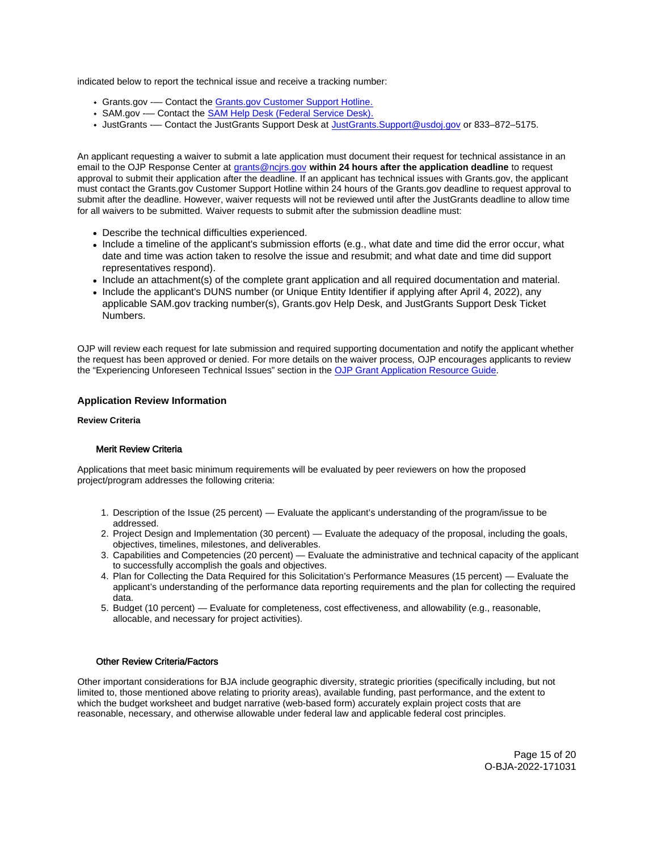<span id="page-14-0"></span>indicated below to report the technical issue and receive a tracking number:

- [Grants.gov](https://Grants.gov) -— Contact the [Grants.gov Customer Support Hotline.](https://www.grants.gov/web/grants/support.html)
- SAM.gov -— Contact the [SAM Help Desk \(Federal Service Desk\).](https://www.fsd.gov/gsafsd_sp)
- JustGrants -— Contact the JustGrants Support Desk at [JustGrants.Support@usdoj.gov](mailto:JustGrants.Support@usdoj.gov) or 833–872–5175.

An applicant requesting a waiver to submit a late application must document their request for technical assistance in an email to the OJP Response Center at [grants@ncjrs.gov](file:///C:/Users/local_Yehj/INetCache/Content.Outlook/20U4XBR7/grants@ncjrs.gov) **within 24 hours after the application deadline** to request approval to submit their application after the deadline. If an applicant has technical issues with [Grants.gov](https://Grants.gov), the applicant must contact the [Grants.gov](https://Grants.gov) Customer Support Hotline within 24 hours of the [Grants.gov](https://Grants.gov) deadline to request approval to submit after the deadline. However, waiver requests will not be reviewed until after the JustGrants deadline to allow time for all waivers to be submitted. Waiver requests to submit after the submission deadline must:

- Describe the technical difficulties experienced.
- Include a timeline of the applicant's submission efforts (e.g., what date and time did the error occur, what date and time was action taken to resolve the issue and resubmit; and what date and time did support representatives respond).
- Include an attachment(s) of the complete grant application and all required documentation and material.
- Include the applicant's DUNS number (or Unique Entity Identifier if applying after April 4, 2022), any applicable SAM.gov tracking number(s), [Grants.gov](https://Grants.gov) Help Desk, and JustGrants Support Desk Ticket Numbers.

OJP will review each request for late submission and required supporting documentation and notify the applicant whether the request has been approved or denied. For more details on the waiver process, OJP encourages applicants to review the "Experiencing Unforeseen Technical Issues" section in the [OJP Grant Application Resource Guide](https://www.ojp.gov/funding/apply/ojp-grant-application-resource-guide#experiencing-unforeseen-technical-issues).

# **Application Review Information**

### **Review Criteria**

# Merit Review Criteria

Applications that meet basic minimum requirements will be evaluated by peer reviewers on how the proposed project/program addresses the following criteria:

- 1. Description of the Issue (25 percent) Evaluate the applicant's understanding of the program/issue to be addressed.
- 2. Project Design and Implementation (30 percent) Evaluate the adequacy of the proposal, including the goals, objectives, timelines, milestones, and deliverables.
- 3. Capabilities and Competencies (20 percent) Evaluate the administrative and technical capacity of the applicant to successfully accomplish the goals and objectives.
- 4. Plan for Collecting the Data Required for this Solicitation's Performance Measures (15 percent) Evaluate the applicant's understanding of the performance data reporting requirements and the plan for collecting the required data.
- 5. Budget (10 percent) Evaluate for completeness, cost effectiveness, and allowability (e.g., reasonable, allocable, and necessary for project activities).

# Other Review Criteria/Factors

Other important considerations for BJA include geographic diversity, strategic priorities (specifically including, but not limited to, those mentioned above relating to priority areas), available funding, past performance, and the extent to which the budget worksheet and budget narrative (web-based form) accurately explain project costs that are reasonable, necessary, and otherwise allowable under federal law and applicable federal cost principles.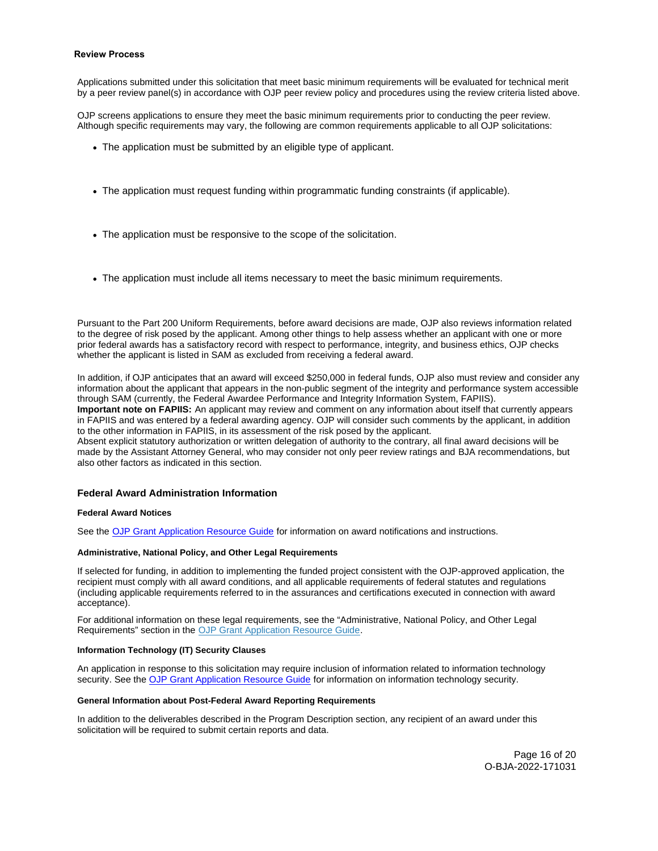### <span id="page-15-0"></span>**Review Process**

Applications submitted under this solicitation that meet basic minimum requirements will be evaluated for technical merit by a peer review panel(s) in accordance with OJP peer review policy and procedures using the review criteria listed above.

OJP screens applications to ensure they meet the basic minimum requirements prior to conducting the peer review. Although specific requirements may vary, the following are common requirements applicable to all OJP solicitations:

- The application must be submitted by an eligible type of applicant.
- The application must request funding within programmatic funding constraints (if applicable).
- The application must be responsive to the scope of the solicitation.
- The application must include all items necessary to meet the basic minimum requirements.

Pursuant to the Part 200 Uniform Requirements, before award decisions are made, OJP also reviews information related to the degree of risk posed by the applicant. Among other things to help assess whether an applicant with one or more prior federal awards has a satisfactory record with respect to performance, integrity, and business ethics, OJP checks whether the applicant is listed in SAM as excluded from receiving a federal award.

In addition, if OJP anticipates that an award will exceed \$250,000 in federal funds, OJP also must review and consider any information about the applicant that appears in the non-public segment of the integrity and performance system accessible through SAM (currently, the Federal Awardee Performance and Integrity Information System, FAPIIS). **Important note on FAPIIS:** An applicant may review and comment on any information about itself that currently appears in FAPIIS and was entered by a federal awarding agency. OJP will consider such comments by the applicant, in addition

to the other information in FAPIIS, in its assessment of the risk posed by the applicant. Absent explicit statutory authorization or written delegation of authority to the contrary, all final award decisions will be

made by the Assistant Attorney General, who may consider not only peer review ratings and BJA recommendations, but also other factors as indicated in this section.

# **Federal Award Administration Information**

#### **Federal Award Notices**

See the [OJP Grant Application Resource Guide](https://www.ojp.gov/funding/apply/ojp-grant-application-resource-guide#federal-award-notices) for information on award notifications and instructions.

# **Administrative, National Policy, and Other Legal Requirements**

If selected for funding, in addition to implementing the funded project consistent with the OJP-approved application, the recipient must comply with all award conditions, and all applicable requirements of federal statutes and regulations (including applicable requirements referred to in the assurances and certifications executed in connection with award acceptance).

For additional information on these legal requirements, see the "Administrative, National Policy, and Other Legal Requirements" section in the [OJP Grant Application Resource Guide.](https://www.ojp.gov/funding/apply/ojp-grant-application-resource-guide#administrative)

# **Information Technology (IT) Security Clauses**

An application in response to this solicitation may require inclusion of information related to information technology security. See the [OJP Grant Application Resource Guide](https://www.ojp.gov/funding/apply/ojp-grant-application-resource-guide#information-technology) for information on information technology security.

#### **General Information about Post-Federal Award Reporting Requirements**

In addition to the deliverables described in the Program Description section, any recipient of an award under this solicitation will be required to submit certain reports and data.

> Page 16 of 20 O-BJA-2022-171031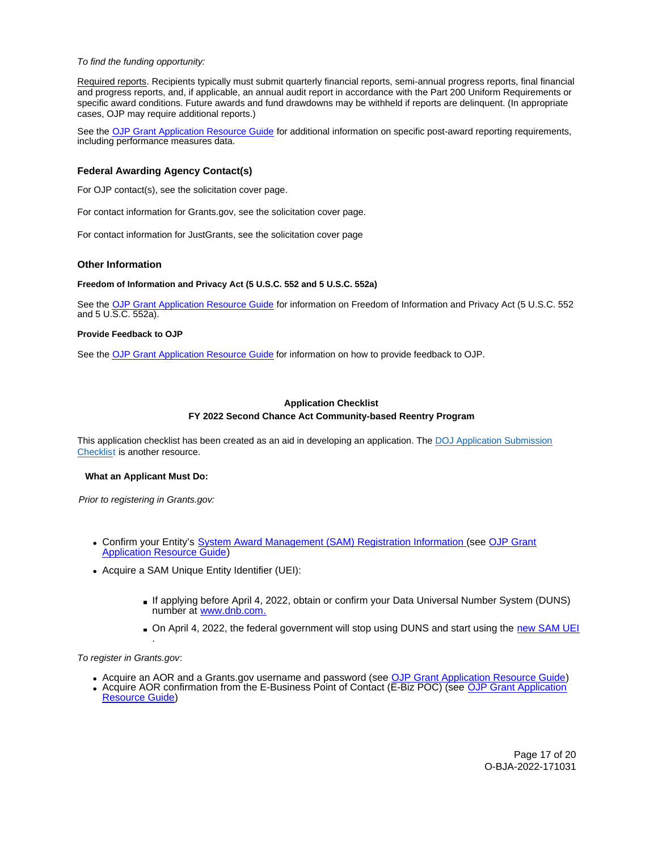# <span id="page-16-0"></span>To find the funding opportunity:

Required reports. Recipients typically must submit quarterly financial reports, semi-annual progress reports, final financial and progress reports, and, if applicable, an annual audit report in accordance with the Part 200 Uniform Requirements or specific award conditions. Future awards and fund drawdowns may be withheld if reports are delinquent. (In appropriate cases, OJP may require additional reports.)

See the [OJP Grant Application Resource Guide](https://www.ojp.gov/funding/apply/ojp-grant-application-resource-guide#general-information) for additional information on specific post-award reporting requirements, including performance measures data.

# **Federal Awarding Agency Contact(s)**

For OJP contact(s), see the solicitation cover page.

For contact information for [Grants.gov](https://Grants.gov), see the solicitation cover page.

For contact information for JustGrants, see the solicitation cover page

#### **Other Information**

# **Freedom of Information and Privacy Act (5 U.S.C. 552 and 5 U.S.C. 552a)**

See the [OJP Grant Application Resource Guide f](https://www.ojp.gov/funding/apply/ojp-grant-application-resource-guide#foia)or information on Freedom of Information and Privacy Act (5 U.S.C. 552 and 5 U.S.C. 552a).

#### **Provide Feedback to OJP**

See the [OJP Grant Application Resource Guide](https://www.ojp.gov/funding/apply/ojp-grant-application-resource-guide#feedback) for information on how to provide feedback to OJP.

# **Application Checklist FY 2022 Second Chance Act Community-based Reentry Program**

This application checklist has been created as an aid in developing an application. The DOJ Application Submission [Checklist i](https://justicegrants.usdoj.gov/sites/g/files/xyckuh296/files/media/document/appln-submission-checklist.pdf)s another resource.

#### **What an Applicant Must Do:**

Prior to registering in [Grants.gov:](https://Grants.gov)

- Confirm your Entity's [System Award Management \(SAM\)](https://sam.gov/SAM/) Registration Information (see [OJP Grant](https://www.ojp.gov/funding/apply/ojp-grant-application-resource-guide#apply)  [Application Resource Guide\)](https://www.ojp.gov/funding/apply/ojp-grant-application-resource-guide#apply)
- Acquire a SAM Unique Entity Identifier (UEI):
	- If applying before April 4, 2022, obtain or confirm your Data Universal Number System (DUNS) number at [www.dnb.com.](http://www.dnb.com)
	- On April 4, 2022, the federal government will stop using DUNS and start using the new SAM UEI

#### To register in [Grants.gov](https://Grants.gov):

.

- Acquire an AOR and a [Grants.gov](https://Grants.gov) username and password (see [OJP Grant Application Resource Guide\)](https://www.ojp.gov/funding/apply/ojp-grant-application-resource-guide#apply)
- Acquire AOR confirmation from the E-Business Point of Contact (E-Biz POC) (see OJP Grant Application [Resource Guide\)](https://www.ojp.gov/funding/apply/ojp-grant-application-resource-guide#apply)

Page 17 of 20 O-BJA-2022-171031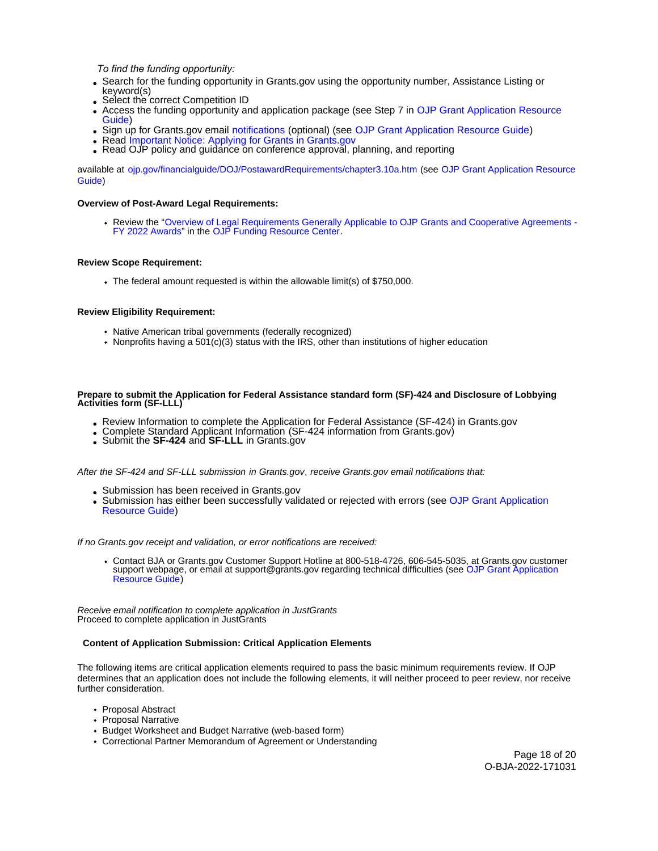*To find the funding opportunity:*

- Search for the funding opportunity in [Grants.gov](https://Grants.gov) using the opportunity number, Assistance Listing or keyword(s)
- Select the correct Competition ID
- Access the funding opportunity and application package (see Step 7 in OJP Grant Application Resource [Guide\)](https://www.ojp.gov/funding/apply/ojp-grant-application-resource-guide#apply)
- Sign up for [Grants.gov](https://Grants.gov) email [notifications](https://www.grants.gov/web/grants/manage-subscriptions.html) (optional) (see [OJP Grant Application Resource Guide\)](https://www.ojp.gov/funding/apply/ojp-grant-application-resource-guide#apply)
- Read [Important Notice: Applying for Grants in Grants.gov](https://ojp.gov/funding/Apply/Grants-govInfo.htm)
- Read OJP policy and guidance on conference approval, planning, and reporting

available at [ojp.gov/financialguide/DOJ/PostawardRequirements/chapter3.10a.htm](https://ojp.gov/financialguide/DOJ/PostawardRequirements/chapter3.10a.htm) (see [OJP Grant Application Resource](https://www.ojp.gov/funding/apply/ojp-grant-application-resource-guide#prior-approval)  [Guide\)](https://www.ojp.gov/funding/apply/ojp-grant-application-resource-guide#prior-approval)

# **Overview of Post-Award Legal Requirements:**

Review the ["Overview of Legal Requirements Generally Applicable to OJP Grants and Cooperative Agreements -](https://www.ojp.gov/funding/explore/legal-overview-awards) [FY 2022 Awards"](https://www.ojp.gov/funding/explore/legal-overview-awards) in the [OJP Funding Resource Center.](https://www.ojp.gov/funding/explore/legal-overview-awards)

# **Review Scope Requirement:**

The federal amount requested is within the allowable limit(s) of \$750,000.

# **Review Eligibility Requirement:**

- Native American tribal governments (federally recognized)
- Nonprofits having a  $501(c)(3)$  status with the IRS, other than institutions of higher education

# **Prepare to submit the Application for Federal Assistance standard form (SF)-424 and Disclosure of Lobbying Activities form (SF-LLL)**

- Review Information to complete the Application for Federal Assistance (SF-424) in [Grants.gov](https://Grants.gov)<br>• Complete Standard Applicant Information (SF-424 information from [Grants.gov\)](https://Grants.gov)<br>• Submit the SF-424 and SF-LLL in Grants.gov
- 
- 

After the SF-424 and SF-LLL submission in [Grants.gov](https://Grants.gov), receive [Grants.gov](https://Grants.gov) email notifications that:

- Submission has been received in Grants.gov
- Submission has either been successfully validated or rejected with errors (see OJP Grant Application [Resource Guide\)](https://www.ojp.gov/funding/apply/ojp-grant-application-resource-guide#apply)

# If no [Grants.gov](https://Grants.gov) receipt and validation, or error notifications are received:

Contact BJA or [Grants.gov](https://Grants.gov) Customer Support Hotline at 800-518-4726, 606-545-5035, at [Grants.gov](https://Grants.gov) customer support webpage, or email at [support@grants.gov](mailto:support@grants.gov) regarding technical difficulties (see OJP Grant Application [Resource Guide\)](https://www.ojp.gov/funding/apply/ojp-grant-application-resource-guide#apply)

Receive email notification to complete application in JustGrants Proceed to complete application in JustGrants

# **Content of Application Submission: Critical Application Elements**

The following items are critical application elements required to pass the basic minimum requirements review. If OJP determines that an application does not include the following elements, it will neither proceed to peer review, nor receive further consideration.

- Proposal Abstract
- Proposal Narrative
- Budget Worksheet and Budget Narrative (web-based form)
- Correctional Partner Memorandum of Agreement or Understanding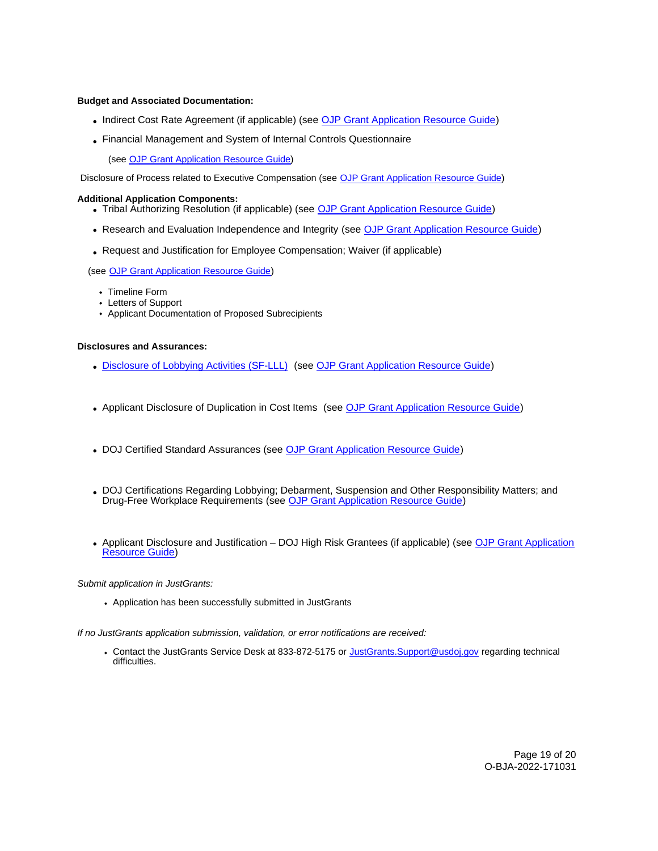# **Budget and Associated Documentation:**

- Indirect Cost Rate Agreement (if applicable) (see [OJP Grant Application Resource Guide\)](https://www.ojp.gov/funding/apply/ojp-grant-application-resource-guide#indirect-cost)
- Financial Management and System of Internal Controls Questionnaire

(see [OJP Grant Application Resource Guide\)](https://www.ojp.gov/funding/apply/ojp-grant-application-resource-guide#fm-internal-controls-questionnaire)

Disclosure of Process related to Executive Compensation (see [OJP Grant Application Resource Guide\)](https://www.ojp.gov/funding/apply/ojp-grant-application-resource-guide#disclosure-process-executive) 

# **Additional Application Components:**

- Tribal Authorizing Resolution (if applicable) (see [OJP Grant Application Resource Guide\)](https://www.ojp.gov/funding/apply/ojp-grant-application-resource-guide#tribal-authorizing-resolution)
- Research and Evaluation Independence and Integrity (see [OJP Grant Application Resource Guide\)](https://www.ojp.gov/funding/apply/ojp-grant-application-resource-guide#research-evaluation)
- Request and Justification for Employee Compensation; Waiver (if applicable)

(see [OJP Grant Application Resource Guide\)](https://www.ojp.gov/funding/apply/ojp-grant-application-resource-guide#limitation-use-award)

- Timeline Form
- Letters of Support
- Applicant Documentation of Proposed Subrecipients

# **Disclosures and Assurances:**

- [Disclosure of Lobbying Activities \(SF-LLL\)](https://ojp.gov/funding/Apply/Resources/Disclosure.pdf) (see [OJP Grant Application Resource Guide\)](https://www.ojp.gov/funding/apply/ojp-grant-application-resource-guide#disclosure-lobby)
- Applicant Disclosure of Duplication in Cost Items (see [OJP Grant Application Resource Guide\)](https://www.ojp.gov/funding/apply/ojp-grant-application-resource-guide#applicant-disclosure-pending-applications)
- DOJ Certified Standard Assurances (see [OJP Grant Application Resource Guide\)](https://www.ojp.gov/funding/apply/ojp-grant-application-resource-guide#administrative)
- DOJ Certifications Regarding Lobbying; Debarment, Suspension and Other Responsibility Matters; and Drug-Free Workplace Requirements (see [OJP Grant Application Resource Guide\)](https://www.ojp.gov/funding/apply/ojp-grant-application-resource-guide#administrative)
- Applicant Disclosure and Justification DOJ High Risk Grantees (if applicable) (see [OJP Grant Application](https://www.ojp.gov/funding/apply/ojp-grant-application-resource-guide#applicant-disclosure-justification)  [Resource Guide\)](https://www.ojp.gov/funding/apply/ojp-grant-application-resource-guide#applicant-disclosure-justification)

Submit application in JustGrants:

Application has been successfully submitted in JustGrants

If no JustGrants application submission, validation, or error notifications are received:

Contact the JustGrants Service Desk at 833-872-5175 or [JustGrants.Support@usdoj.gov](mailto:JustGrants.Support@usdoj.gov) regarding technical difficulties.

> Page 19 of 20 O-BJA-2022-171031